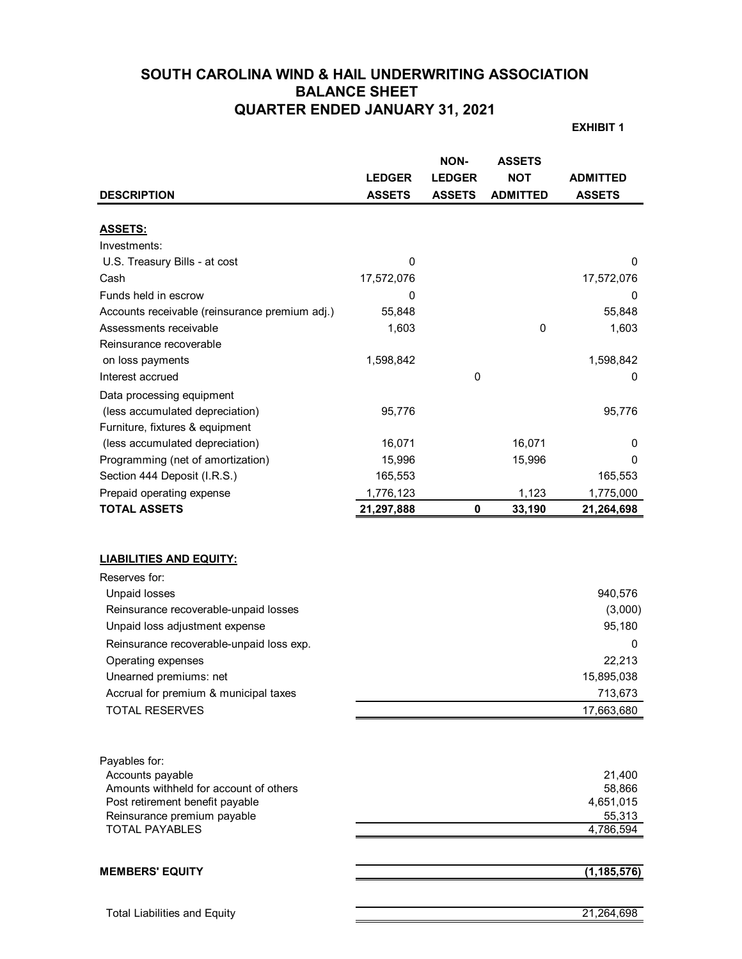# **SOUTH CAROLINA WIND & HAIL UNDERWRITING ASSOCIATION BALANCE SHEET QUARTER ENDED JANUARY 31, 2021**

**EXHIBIT 1**

|                                                                                                                                                                                                                                                                                                                  | <b>LEDGER</b> | <b>NON-</b><br><b>LEDGER</b> | <b>ASSETS</b><br><b>NOT</b> | <b>ADMITTED</b>                                                                    |
|------------------------------------------------------------------------------------------------------------------------------------------------------------------------------------------------------------------------------------------------------------------------------------------------------------------|---------------|------------------------------|-----------------------------|------------------------------------------------------------------------------------|
| <b>DESCRIPTION</b>                                                                                                                                                                                                                                                                                               | <b>ASSETS</b> | <b>ASSETS</b>                | <b>ADMITTED</b>             | <b>ASSETS</b>                                                                      |
| <b>ASSETS:</b>                                                                                                                                                                                                                                                                                                   |               |                              |                             |                                                                                    |
| Investments:                                                                                                                                                                                                                                                                                                     |               |                              |                             |                                                                                    |
| U.S. Treasury Bills - at cost                                                                                                                                                                                                                                                                                    | 0             |                              |                             | 0                                                                                  |
| Cash                                                                                                                                                                                                                                                                                                             | 17,572,076    |                              |                             | 17,572,076                                                                         |
| Funds held in escrow                                                                                                                                                                                                                                                                                             | 0             |                              |                             | 0                                                                                  |
| Accounts receivable (reinsurance premium adj.)                                                                                                                                                                                                                                                                   | 55,848        |                              |                             | 55,848                                                                             |
| Assessments receivable                                                                                                                                                                                                                                                                                           | 1,603         |                              | 0                           | 1,603                                                                              |
| Reinsurance recoverable                                                                                                                                                                                                                                                                                          |               |                              |                             |                                                                                    |
| on loss payments                                                                                                                                                                                                                                                                                                 | 1,598,842     |                              |                             | 1,598,842                                                                          |
| Interest accrued                                                                                                                                                                                                                                                                                                 |               | 0                            |                             | 0                                                                                  |
| Data processing equipment                                                                                                                                                                                                                                                                                        |               |                              |                             |                                                                                    |
| (less accumulated depreciation)                                                                                                                                                                                                                                                                                  | 95,776        |                              |                             | 95,776                                                                             |
| Furniture, fixtures & equipment                                                                                                                                                                                                                                                                                  |               |                              |                             |                                                                                    |
| (less accumulated depreciation)                                                                                                                                                                                                                                                                                  | 16,071        |                              | 16,071                      | 0                                                                                  |
| Programming (net of amortization)                                                                                                                                                                                                                                                                                | 15,996        |                              | 15,996                      | 0                                                                                  |
| Section 444 Deposit (I.R.S.)                                                                                                                                                                                                                                                                                     | 165,553       |                              |                             | 165,553                                                                            |
| Prepaid operating expense                                                                                                                                                                                                                                                                                        | 1,776,123     |                              | 1,123                       | 1,775,000                                                                          |
| <b>TOTAL ASSETS</b>                                                                                                                                                                                                                                                                                              | 21,297,888    | 0                            | 33,190                      | 21,264,698                                                                         |
| <b>LIABILITIES AND EQUITY:</b><br>Reserves for:<br><b>Unpaid losses</b><br>Reinsurance recoverable-unpaid losses<br>Unpaid loss adjustment expense<br>Reinsurance recoverable-unpaid loss exp.<br>Operating expenses<br>Unearned premiums: net<br>Accrual for premium & municipal taxes<br><b>TOTAL RESERVES</b> |               |                              |                             | 940,576<br>(3,000)<br>95,180<br>0<br>22,213<br>15,895,038<br>713,673<br>17,663,680 |
| Payables for:<br>Accounts payable<br>Amounts withheld for account of others<br>Post retirement benefit payable<br>Reinsurance premium payable<br><b>TOTAL PAYABLES</b>                                                                                                                                           |               |                              |                             | 21,400<br>58,866<br>4,651,015<br>55,313<br>4,786,594                               |
| <b>MEMBERS' EQUITY</b>                                                                                                                                                                                                                                                                                           |               |                              |                             | (1, 185, 576)                                                                      |
| <b>Total Liabilities and Equity</b>                                                                                                                                                                                                                                                                              |               |                              |                             | 21,264,698                                                                         |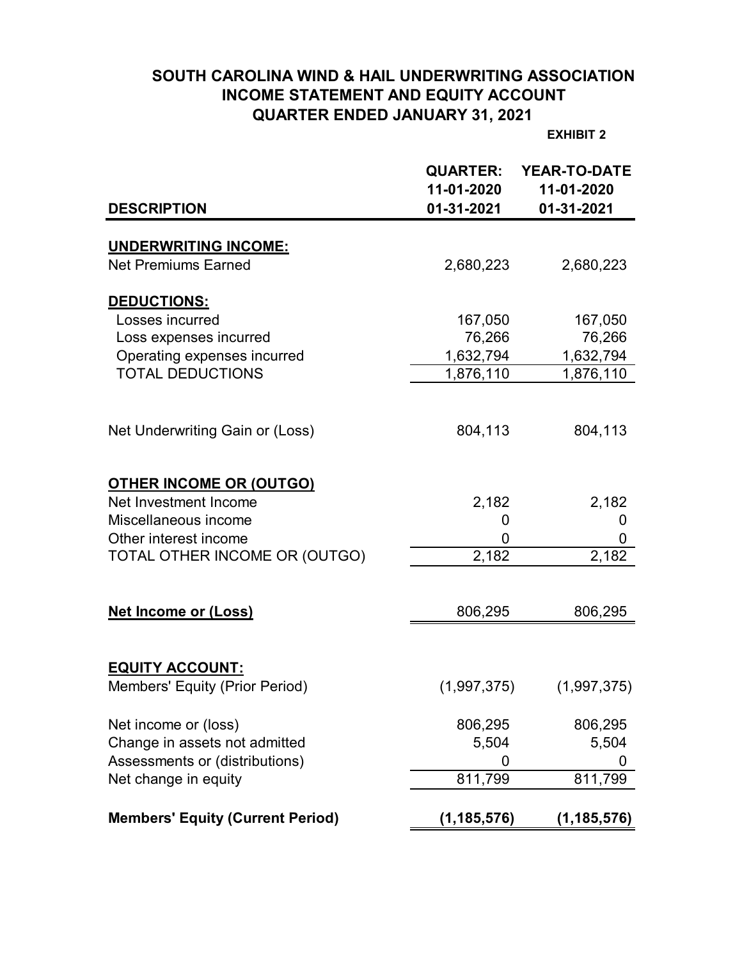# **SOUTH CAROLINA WIND & HAIL UNDERWRITING ASSOCIATION INCOME STATEMENT AND EQUITY ACCOUNT QUARTER ENDED JANUARY 31, 2021**

**EXHIBIT 2**

|                                         | <b>QUARTER:</b><br>11-01-2020 | <b>YEAR-TO-DATE</b><br>11-01-2020 |
|-----------------------------------------|-------------------------------|-----------------------------------|
| <b>DESCRIPTION</b>                      | 01-31-2021                    | 01-31-2021                        |
| <b>UNDERWRITING INCOME:</b>             |                               |                                   |
| <b>Net Premiums Earned</b>              | 2,680,223                     | 2,680,223                         |
| DEDUCTIONS:                             |                               |                                   |
| Losses incurred                         | 167,050                       | 167,050                           |
| Loss expenses incurred                  | 76,266                        | 76,266                            |
| Operating expenses incurred             | 1,632,794                     | 1,632,794                         |
| <b>TOTAL DEDUCTIONS</b>                 | 1,876,110                     | 1,876,110                         |
|                                         |                               |                                   |
| Net Underwriting Gain or (Loss)         | 804,113                       | 804,113                           |
| <b>OTHER INCOME OR (OUTGO)</b>          |                               |                                   |
| Net Investment Income                   | 2,182                         | 2,182                             |
| Miscellaneous income                    | 0                             | 0                                 |
| Other interest income                   | 0                             | 0                                 |
| TOTAL OTHER INCOME OR (OUTGO)           | 2,182                         | 2,182                             |
|                                         |                               |                                   |
| <b>Net Income or (Loss)</b>             | 806,295                       | 806,295                           |
|                                         |                               |                                   |
| <b>EQUITY ACCOUNT:</b>                  |                               |                                   |
| Members' Equity (Prior Period)          | (1,997,375)                   | (1,997,375)                       |
| Net income or (loss)                    | 806,295                       | 806,295                           |
| Change in assets not admitted           | 5,504                         | 5,504                             |
| Assessments or (distributions)          | Ü                             |                                   |
| Net change in equity                    | 811,799                       | 811,799                           |
| <b>Members' Equity (Current Period)</b> | (1, 185, 576)                 | (1, 185, 576)                     |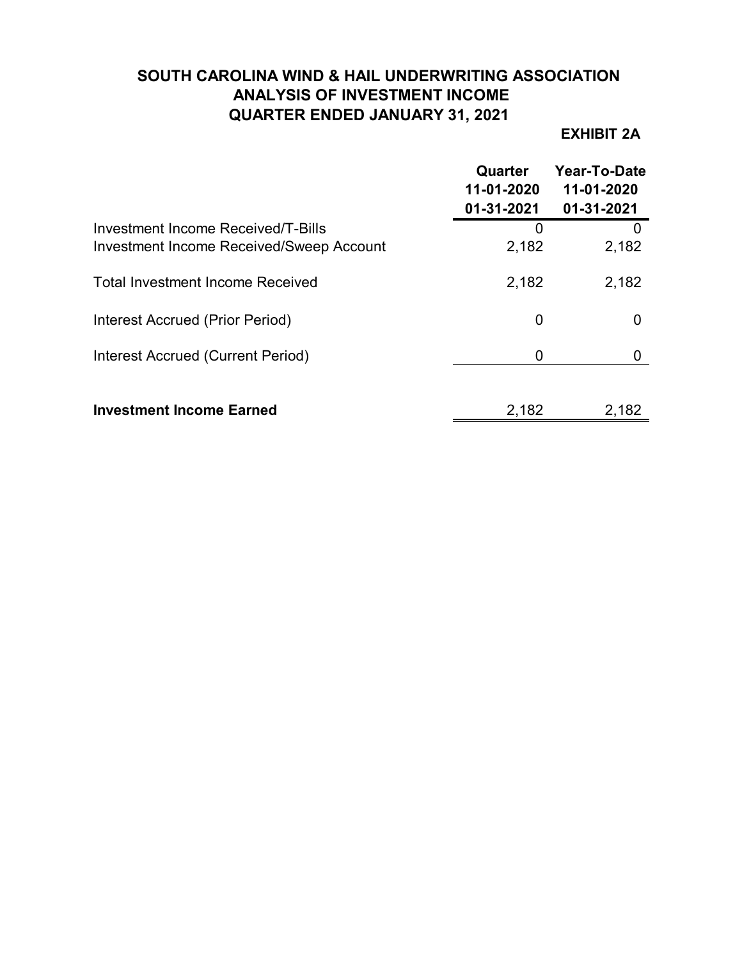# **SOUTH CAROLINA WIND & HAIL UNDERWRITING ASSOCIATION ANALYSIS OF INVESTMENT INCOME QUARTER ENDED JANUARY 31, 2021**

# **EXHIBIT 2A**

|                                                                                | Quarter<br>11-01-2020<br>01-31-2021 | Year-To-Date<br>11-01-2020<br>01-31-2021 |
|--------------------------------------------------------------------------------|-------------------------------------|------------------------------------------|
| Investment Income Received/T-Bills<br>Investment Income Received/Sweep Account | 0<br>2,182                          | 2,182                                    |
| <b>Total Investment Income Received</b>                                        | 2,182                               | 2,182                                    |
| Interest Accrued (Prior Period)                                                | 0                                   | O                                        |
| <b>Interest Accrued (Current Period)</b>                                       | 0                                   |                                          |
| <b>Investment Income Earned</b>                                                | 2,182                               | 2,182                                    |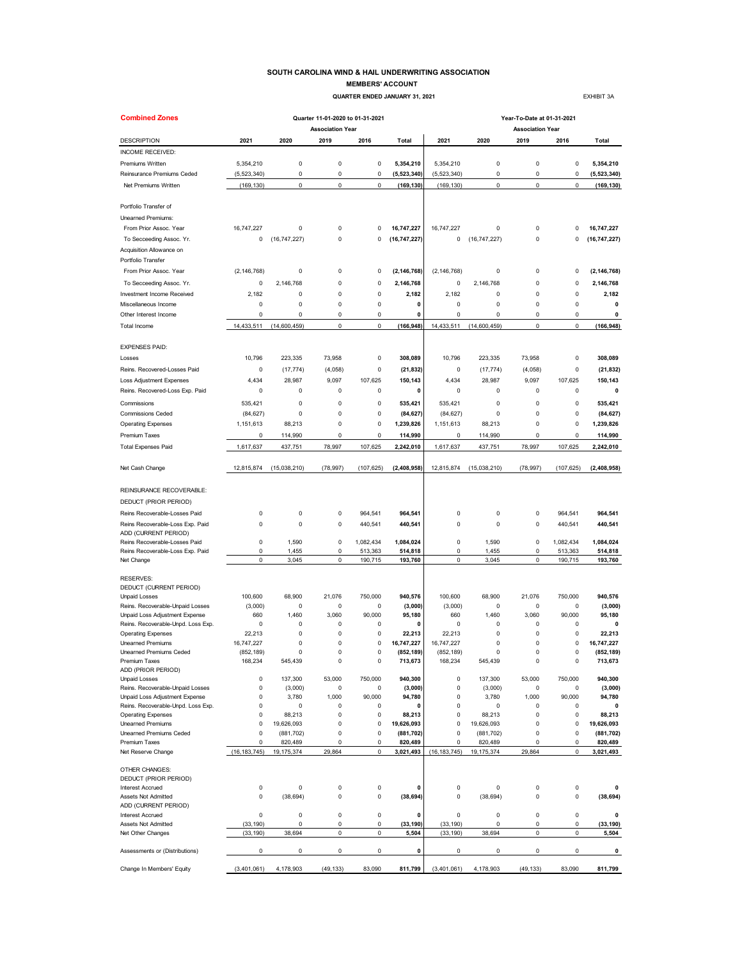### **SOUTH CAROLINA WIND & HAIL UNDERWRITING ASSOCIATION MEMBERS' ACCOUNT**

 **QUARTER ENDED JANUARY 31, 2021 EXHIBIT 38** 

| <b>Combined Zones</b>                                                |                |                       | Quarter 11-01-2020 to 01-31-2021 |             |                       |                            | Year-To-Date at 01-31-2021 |                         |                  |                       |
|----------------------------------------------------------------------|----------------|-----------------------|----------------------------------|-------------|-----------------------|----------------------------|----------------------------|-------------------------|------------------|-----------------------|
|                                                                      |                |                       | <b>Association Year</b>          |             |                       |                            |                            | <b>Association Year</b> |                  |                       |
| <b>DESCRIPTION</b>                                                   | 2021           | 2020                  | 2019                             | 2016        | Total                 | 2021                       | 2020                       | 2019                    | 2016             | <b>Total</b>          |
| INCOME RECEIVED:                                                     |                |                       |                                  |             |                       |                            |                            |                         |                  |                       |
| Premiums Written                                                     | 5,354,210      | 0                     | $\pmb{0}$                        | 0           | 5,354,210             | 5,354,210                  | 0                          | 0                       | 0                | 5,354,210             |
| Reinsurance Premiums Ceded                                           | (5, 523, 340)  | 0                     | $\mathsf 0$                      | 0           | (5,523,340)           | (5, 523, 340)              | 0                          | $\pmb{0}$               | 0                | (5,523,340)           |
| Net Premiums Written                                                 | (169, 130)     | 0                     | $\mathsf{O}\xspace$              | 0           | (169, 130)            | (169, 130)                 | $\mathsf 0$                | $\pmb{0}$               | $\pmb{0}$        | (169, 130)            |
| Portfolio Transfer of                                                |                |                       |                                  |             |                       |                            |                            |                         |                  |                       |
| Unearned Premiums:                                                   |                |                       |                                  |             |                       |                            |                            |                         |                  |                       |
| From Prior Assoc. Year                                               | 16,747,227     | 0                     | $\mathsf 0$                      | 0           | 16,747,227            | 16,747,227                 | 0                          | $\pmb{0}$               | $\Omega$         | 16,747,227            |
| To Secceeding Assoc. Yr.                                             | 0              | (16, 747, 227)        | $\mathsf 0$                      | 0           | (16, 747, 227)        | 0                          | (16, 747, 227)             | $\pmb{0}$               | 0                | (16, 747, 227)        |
| Acquisition Allowance on<br>Portfolio Transfer                       |                |                       |                                  |             |                       |                            |                            |                         |                  |                       |
|                                                                      |                |                       |                                  |             |                       | (2, 146, 768)              |                            |                         |                  |                       |
| From Prior Assoc. Year                                               | (2, 146, 768)  | 0                     | 0                                | 0           | (2, 146, 768)         |                            | 0                          | 0                       | 0                | (2, 146, 768)         |
| To Secceeding Assoc. Yr.                                             | 0              | 2,146,768             | $\mathsf 0$                      | 0           | 2,146,768             | 0                          | 2,146,768                  | 0                       | 0                | 2,146,768             |
| Investment Income Received                                           | 2,182          | 0                     | $\mathbf 0$                      | 0           | 2,182                 | 2,182                      | 0                          | $\pmb{0}$               | $\mathbf 0$      | 2,182                 |
| Miscellaneous Income                                                 | 0              | 0                     | 0                                | 0           | 0                     | 0                          | 0                          | $\pmb{0}$               | 0                | 0                     |
| Other Interest Income                                                | 0              | 0                     | 0                                | 0           | 0                     | 0                          | 0                          | 0                       | 0                | 0                     |
| <b>Total Income</b>                                                  | 14,433,511     | (14,600,459)          | 0                                | 0           | (166, 948)            | 14,433,511                 | (14,600,459)               | $\mathsf 0$             | 0                | (166, 948)            |
| <b>EXPENSES PAID:</b>                                                |                |                       |                                  |             |                       |                            |                            |                         |                  |                       |
| Losses                                                               | 10,796         | 223,335               | 73,958                           | 0           | 308,089               | 10,796                     | 223,335                    | 73,958                  | 0                | 308,089               |
| Reins, Recovered-Losses Paid                                         | 0              | (17, 774)             | (4,058)                          | 0           | (21, 832)             | 0                          | (17, 774)                  | (4,058)                 | 0                | (21, 832)             |
| Loss Adjustment Expenses                                             | 4,434          | 28,987                | 9,097                            | 107,625     | 150,143               | 4,434                      | 28,987                     | 9,097                   | 107.625          | 150,143               |
| Reins. Recovered-Loss Exp. Paid                                      | 0              | 0                     | 0                                | 0           | 0                     | 0                          | 0                          | 0                       | 0                | 0                     |
| Commissions                                                          | 535,421        | 0                     | 0                                | 0           | 535,421               | 535,421                    | 0                          | 0                       | 0                | 535,421               |
| <b>Commissions Ceded</b>                                             | (84, 627)      | 0                     | $\mathsf 0$                      | 0           | (84, 627)             | (84, 627)                  | 0                          | $\pmb{0}$               | 0                | (84, 627)             |
| <b>Operating Expenses</b>                                            | 1,151,613      | 88,213                | 0                                | 0           | 1,239,826             | 1,151,613                  | 88,213                     | $\pmb{0}$               | 0                | 1,239,826             |
| Premium Taxes                                                        | 0              | 114,990               | 0                                | 0           | 114,990               | 0                          | 114,990                    | $\pmb{0}$               | 0                | 114,990               |
| <b>Total Expenses Paid</b>                                           | 1,617,637      | 437,751               | 78,997                           | 107,625     | 2,242,010             | 1,617,637                  | 437,751                    | 78,997                  | 107,625          | 2,242,010             |
|                                                                      |                |                       |                                  |             |                       |                            |                            |                         |                  |                       |
| Net Cash Change                                                      | 12,815,874     | (15,038,210)          | (78, 997)                        | (107, 625)  | (2, 408, 958)         | 12,815,874                 | (15,038,210)               | (78, 997)               | (107, 625)       | (2,408,958)           |
| REINSURANCE RECOVERABLE:                                             |                |                       |                                  |             |                       |                            |                            |                         |                  |                       |
| DEDUCT (PRIOR PERIOD)                                                |                |                       |                                  |             |                       |                            |                            |                         |                  |                       |
| Reins Recoverable-Losses Paid                                        | 0              | 0                     | $\mathsf 0$                      | 964,541     | 964,541               | 0                          | 0                          | $\pmb{0}$               | 964,541          | 964,541               |
| Reins Recoverable-Loss Exp. Paid                                     | 0              | 0                     | $\mathsf 0$                      | 440,541     | 440,541               | 0                          | 0                          | $\pmb{0}$               | 440,541          | 440,541               |
| ADD (CURRENT PERIOD)                                                 |                |                       |                                  |             |                       |                            |                            |                         |                  |                       |
| Reins Recoverable-Losses Paid                                        | 0              | 1,590                 | $\mathsf 0$                      | 1,082,434   | 1,084,024             | $\pmb{0}$                  | 1,590                      | $\pmb{0}$               | 1,082,434        | 1,084,024             |
| Reins Recoverable-Loss Exp. Paid                                     | 0<br>0         | 1,455                 | $\mathbf 0$<br>0                 | 513,363     | 514,818               | 0<br>0                     | 1,455                      | $\pmb{0}$<br>0          | 513,363          | 514,818               |
| Net Change                                                           |                | 3,045                 |                                  | 190,715     | 193,760               |                            | 3,045                      |                         | 190,715          | 193,760               |
| <b>RESERVES:</b>                                                     |                |                       |                                  |             |                       |                            |                            |                         |                  |                       |
| DEDUCT (CURRENT PERIOD)                                              |                |                       |                                  |             |                       |                            |                            |                         |                  |                       |
| <b>Unpaid Losses</b>                                                 | 100,600        | 68,900                | 21,076                           | 750,000     | 940,576               | 100,600                    | 68,900                     | 21,076                  | 750,000          | 940,576               |
| Reins. Recoverable-Unpaid Losses                                     | (3,000)        | 0                     | $\mathsf 0$                      | 0           | (3,000)               | (3,000)                    | 0                          | 0                       | 0                | (3,000)               |
| Unpaid Loss Adjustment Expense<br>Reins. Recoverable-Unpd. Loss Exp. | 660<br>0       | 1,460<br>0            | 3,060<br>0                       | 90,000<br>0 | 95,180<br>0           | 660<br>0                   | 1,460<br>0                 | 3,060<br>0              | 90,000<br>0      | 95,180<br>0           |
| <b>Operating Expenses</b>                                            | 22,213         | 0                     | 0                                | 0           | 22,213                | 22,213                     | 0                          | 0                       | 0                | 22,213                |
| Unearned Premiums                                                    | 16,747,227     | 0                     | 0                                | 0           | 16,747,227            | 16,747,227                 | 0                          | 0                       | 0                | 16,747,227            |
| Unearned Premiums Ceded                                              | (852, 189)     | n                     | $\Omega$                         | 0           | (852, 189)            | (852, 189)                 | $\Omega$                   | O                       | 0                | (852, 189)            |
| Premium Taxes                                                        | 168,234        | 545,439               | 0                                | 0           | 713,673               | 168,234                    | 545,439                    | $\pmb{0}$               | 0                | 713,673               |
| ADD (PRIOR PERIOD)<br>Unpaid Losses                                  | 0              | 137,300               | 53,000                           | 750,000     | 940,300               | $\pmb{0}$                  | 137,300                    | 53,000                  | 750,000          | 940,300               |
| Reins. Recoverable-Unpaid Losses                                     | 0              | (3,000)               | $\mathsf 0$                      | 0           | (3,000)               | $\pmb{0}$                  | (3,000)                    | $\pmb{0}$               | 0                | (3,000)               |
| Unpaid Loss Adjustment Expense                                       | 0              | 3,780                 | 1,000                            | 90,000      | 94,780                | $\pmb{0}$                  | 3,780                      | 1,000                   | 90,000           | 94,780                |
| Reins. Recoverable-Unpd. Loss Exp.                                   | 0              | 0                     | 0                                | 0           | $\mathbf{0}$          | $\pmb{0}$                  | 0                          | $\mathbf 0$             | 0                | 0                     |
| <b>Operating Expenses</b>                                            | 0              | 88,213                | $\mathsf 0$                      | 0           | 88,213                | $\pmb{0}$                  | 88,213                     | $\mathbf 0$             | 0                | 88,213                |
| <b>Unearned Premiums</b>                                             | 0              | 19,626,093            | 0                                | 0           | 19,626,093            | 0                          | 19,626,093                 | $\pmb{0}$               | 0                | 19,626,093            |
| Unearned Premiums Ceded<br>Premium Taxes                             | 0<br>0         | (881, 702)<br>820,489 | $\mathsf 0$<br>$\mathsf 0$       | 0<br>0      | (881, 702)<br>820,489 | $\mathbf 0$<br>$\mathbf 0$ | (881, 702)<br>820,489      | $\pmb{0}$<br>$\pmb{0}$  | 0<br>$\mathbf 0$ | (881, 702)<br>820,489 |
| Net Reserve Change                                                   | (16, 183, 745) | 19, 175, 374          | 29.864                           | $\mathbf 0$ | 3,021,493             | (16, 183, 745)             | 19, 175, 374               | 29.864                  | 0                | 3,021,493             |
|                                                                      |                |                       |                                  |             |                       |                            |                            |                         |                  |                       |
| OTHER CHANGES:                                                       |                |                       |                                  |             |                       |                            |                            |                         |                  |                       |
| DEDUCT (PRIOR PERIOD)<br><b>Interest Accrued</b>                     | 0              | 0                     | $\mathsf 0$                      | 0           | $\mathbf 0$           | $\mathbf 0$                | 0                          | $\pmb{0}$               | 0                | 0                     |
| Assets Not Admitted                                                  | 0              | (38, 694)             | 0                                | 0           | (38, 694)             | $\pmb{0}$                  | (38, 694)                  | $\pmb{0}$               | 0                | (38, 694)             |
| ADD (CURRENT PERIOD)                                                 |                |                       |                                  |             |                       |                            |                            |                         |                  |                       |
| <b>Interest Accrued</b>                                              | 0              | 0                     | $\mathbf 0$                      | 0           | $\mathbf 0$           | $\pmb{0}$                  | 0                          | $\pmb{0}$               | 0                | 0                     |
| Assets Not Admitted                                                  | (33, 190)      | 0                     | $\mathsf 0$                      | 0           | (33, 190)             | (33, 190)                  | 0                          | $\mathbf 0$             | 0                | (33, 190)             |
| Net Other Changes                                                    | (33, 190)      | 38,694                | 0                                | 0           | 5,504                 | (33, 190)                  | 38,694                     | 0                       | 0                | 5,504                 |
| Assessments or (Distributions)                                       | 0              | 0                     | 0                                | 0           | 0                     | $\mathbf 0$                | 0                          | $\pmb{0}$               | 0                | 0                     |
| Change In Members' Equity                                            | (3,401,061)    | 4,178,903             | (49, 133)                        | 83,090      | 811,799               | (3,401,061)                | 4,178,903                  | (49, 133)               | 83,090           | 811,799               |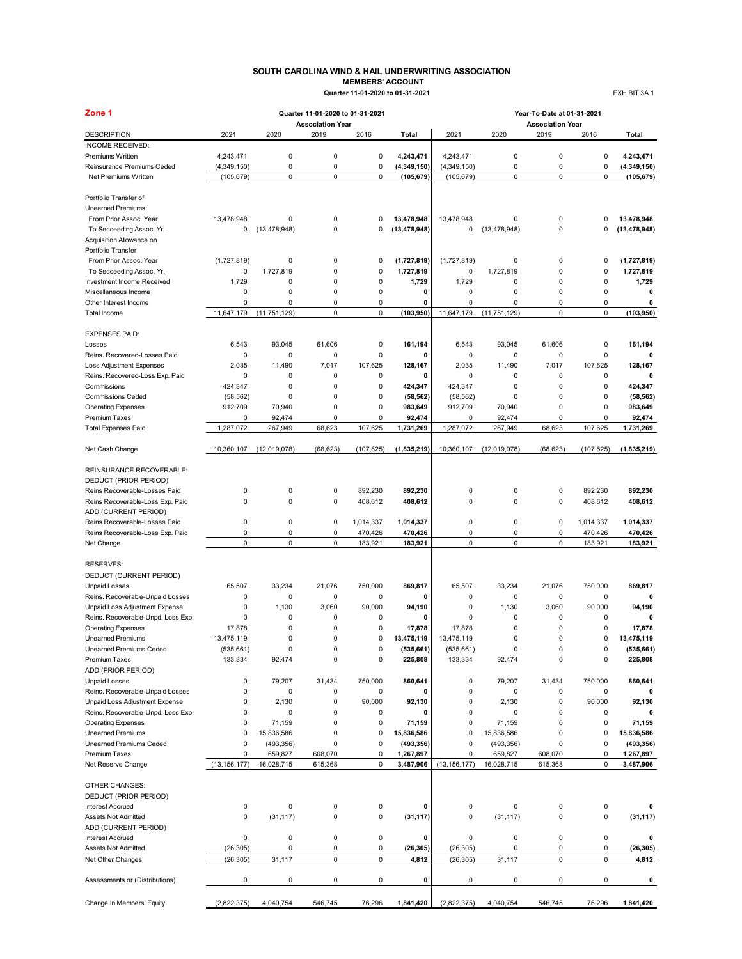### **SOUTH CAROLINA WIND & HAIL UNDERWRITING ASSOCIATION MEMBERS' ACCOUNT Quarter 11-01-2020 to 01-31-2021** EXHIBIT 3A 1

| <b>MEMBERS' ACCOUNT</b>          |  |
|----------------------------------|--|
| Quarter 11-01-2020 to 01-31-2021 |  |

| Zone 1                                                |                      |                | Quarter 11-01-2020 to 01-31-2021 |             |                       | Year-To-Date at 01-31-2021 |                |                                 |             |                       |  |  |
|-------------------------------------------------------|----------------------|----------------|----------------------------------|-------------|-----------------------|----------------------------|----------------|---------------------------------|-------------|-----------------------|--|--|
| <b>DESCRIPTION</b>                                    | 2021                 | 2020           | <b>Association Year</b><br>2019  | 2016        | Total                 | 2021                       | 2020           | <b>Association Year</b><br>2019 | 2016        | Total                 |  |  |
| INCOME RECEIVED:                                      |                      |                |                                  |             |                       |                            |                |                                 |             |                       |  |  |
| Premiums Written                                      | 4,243,471            | 0              | 0                                | 0           | 4,243,471             | 4,243,471                  | 0              | $\pmb{0}$                       | 0           | 4,243,471             |  |  |
| Reinsurance Premiums Ceded                            | (4,349,150)          | 0              | 0                                | 0           | (4, 349, 150)         | (4,349,150)                | 0              | $\pmb{0}$                       | $\mathbf 0$ | (4, 349, 150)         |  |  |
| Net Premiums Written                                  | (105, 679)           | 0              | 0                                | $\mathbf 0$ | (105, 679)            | (105, 679)                 | 0              | $\mathbf 0$                     | $\mathbf 0$ | (105, 679)            |  |  |
|                                                       |                      |                |                                  |             |                       |                            |                |                                 |             |                       |  |  |
| Portfolio Transfer of                                 |                      |                |                                  |             |                       |                            |                |                                 |             |                       |  |  |
| <b>Unearned Premiums:</b>                             |                      |                |                                  |             |                       |                            |                |                                 |             |                       |  |  |
| From Prior Assoc. Year                                | 13,478,948           | 0              | 0                                | 0           | 13,478,948            | 13,478,948                 | 0              | $\mathbf 0$                     | 0           | 13,478,948            |  |  |
| To Secceeding Assoc. Yr.                              | 0                    | (13, 478, 948) | 0                                | 0           | (13, 478, 948)        | 0                          | (13, 478, 948) | $\mathbf 0$                     | 0           | (13, 478, 948)        |  |  |
| Acquisition Allowance on                              |                      |                |                                  |             |                       |                            |                |                                 |             |                       |  |  |
| Portfolio Transfer                                    |                      |                |                                  |             |                       |                            |                |                                 |             |                       |  |  |
| From Prior Assoc. Year                                | (1,727,819)          | 0              | 0                                | 0           | (1,727,819)           | (1,727,819)                | 0              | $\mathbf 0$                     | 0           | (1,727,819)           |  |  |
| To Secceeding Assoc. Yr.                              | 0                    | 1,727,819      | 0                                | 0           | 1,727,819             | 0                          | 1,727,819      | $\pmb{0}$                       | 0           | 1,727,819             |  |  |
| Investment Income Received                            | 1,729<br>$\mathsf 0$ | 0<br>0         | 0<br>$\mathbf 0$                 | 0<br>0      | 1,729<br>0            | 1,729<br>$\mathsf 0$       | 0<br>0         | 0<br>$\mathbf 0$                | 0<br>0      | 1,729<br>$\mathbf 0$  |  |  |
| Miscellaneous Income<br>Other Interest Income         | 0                    | 0              | 0                                | 0           | 0                     | 0                          | $\mathbf 0$    | $\mathbf 0$                     | 0           | 0                     |  |  |
| Total Income                                          | 11,647,179           | (11, 751, 129) | 0                                | $\mathbf 0$ | (103, 950)            | 11,647,179                 | (11, 751, 129) | $\mathbf 0$                     | 0           | (103, 950)            |  |  |
|                                                       |                      |                |                                  |             |                       |                            |                |                                 |             |                       |  |  |
| <b>EXPENSES PAID:</b>                                 |                      |                |                                  |             |                       |                            |                |                                 |             |                       |  |  |
| Losses                                                | 6,543                | 93,045         | 61,606                           | 0           | 161,194               | 6,543                      | 93,045         | 61,606                          | 0           | 161,194               |  |  |
| Reins, Recovered-Losses Paid                          | 0                    | 0              | 0                                | 0           | 0                     | 0                          | 0              | $\pmb{0}$                       | 0           | 0                     |  |  |
| Loss Adjustment Expenses                              | 2,035                | 11,490         | 7,017                            | 107,625     | 128.167               | 2,035                      | 11,490         | 7,017                           | 107,625     | 128.167               |  |  |
| Reins. Recovered-Loss Exp. Paid                       | $\mathbf 0$          | 0              | 0                                | 0           | 0                     | 0                          | 0              | $\pmb{0}$                       | 0           | $\mathbf 0$           |  |  |
| Commissions                                           | 424,347              | 0              | 0                                | 0           | 424,347               | 424,347                    | 0              | $\mathbf 0$                     | 0           | 424.347               |  |  |
| <b>Commissions Ceded</b>                              | (58, 562)            | $\Omega$       | 0                                | 0           | (58, 562)             | (58, 562)                  | 0              | $\pmb{0}$                       | 0           | (58, 562)             |  |  |
| <b>Operating Expenses</b>                             | 912,709              | 70,940         | 0                                | 0           | 983,649               | 912,709                    | 70,940         | $\pmb{0}$                       | 0           | 983,649               |  |  |
| Premium Taxes                                         | 0                    | 92,474         | 0                                | 0           | 92,474                | 0                          | 92,474         | $\pmb{0}$                       | 0           | 92,474                |  |  |
| <b>Total Expenses Paid</b>                            | 1,287,072            | 267.949        | 68,623                           | 107,625     | 1,731,269             | 1,287,072                  | 267,949        | 68,623                          | 107,625     | 1.731.269             |  |  |
|                                                       |                      |                |                                  |             |                       |                            |                |                                 |             |                       |  |  |
| Net Cash Change                                       | 10,360,107           | (12,019,078)   | (68, 623)                        | (107, 625)  | (1,835,219)           | 10,360,107                 | (12,019,078)   | (68, 623)                       | (107, 625)  | (1,835,219)           |  |  |
|                                                       |                      |                |                                  |             |                       |                            |                |                                 |             |                       |  |  |
| REINSURANCE RECOVERABLE:                              |                      |                |                                  |             |                       |                            |                |                                 |             |                       |  |  |
| DEDUCT (PRIOR PERIOD)                                 |                      |                |                                  |             |                       |                            |                |                                 |             |                       |  |  |
| Reins Recoverable-Losses Paid                         | 0                    | 0              | 0                                | 892,230     | 892,230               | 0                          | 0              | $\pmb{0}$                       | 892,230     | 892,230               |  |  |
| Reins Recoverable-Loss Exp. Paid                      | 0                    | 0              | 0                                | 408,612     | 408,612               | 0                          | 0              | $\pmb{0}$                       | 408,612     | 408,612               |  |  |
| ADD (CURRENT PERIOD)                                  |                      |                |                                  |             |                       |                            |                |                                 |             |                       |  |  |
| Reins Recoverable-Losses Paid                         | 0                    | 0              | 0                                | 1,014,337   | 1,014,337             | 0                          | 0              | $\mathbf 0$                     | 1,014,337   | 1,014,337             |  |  |
| Reins Recoverable-Loss Exp. Paid                      | 0                    | 0              | 0                                | 470,426     | 470,426               | 0                          | 0              | 0                               | 470,426     | 470,426               |  |  |
| Net Change                                            | 0                    | 0              | 0                                | 183,921     | 183,921               | 0                          | 0              | 0                               | 183,921     | 183,921               |  |  |
|                                                       |                      |                |                                  |             |                       |                            |                |                                 |             |                       |  |  |
| <b>RESERVES:</b>                                      |                      |                |                                  |             |                       |                            |                |                                 |             |                       |  |  |
| DEDUCT (CURRENT PERIOD)                               |                      |                |                                  |             |                       |                            |                |                                 |             |                       |  |  |
| <b>Unpaid Losses</b>                                  | 65,507               | 33,234         | 21,076                           | 750,000     | 869,817               | 65,507                     | 33,234         | 21,076                          | 750,000     | 869,817               |  |  |
| Reins. Recoverable-Unpaid Losses                      | 0                    | 0              | 0                                | 0           | 0                     | 0                          | 0              | $\mathbf 0$                     | 0           | $\mathbf 0$           |  |  |
| Unpaid Loss Adjustment Expense                        | 0                    | 1,130          | 3,060                            | 90,000      | 94,190                | 0                          | 1,130          | 3,060                           | 90,000      | 94.190<br>$\mathbf 0$ |  |  |
| Reins. Recoverable-Unpd. Loss Exp.                    | 0<br>17,878          | 0<br>0         | 0<br>0                           | 0<br>0      | 0                     | 0<br>17,878                | 0<br>0         | $\pmb{0}$<br>$\mathbf 0$        | 0<br>0      | 17,878                |  |  |
| <b>Operating Expenses</b><br><b>Unearned Premiums</b> | 13,475,119           | 0              | 0                                | $\Omega$    | 17,878<br>13,475,119  | 13.475.119                 | $\mathbf 0$    | 0                               | 0           | 13,475,119            |  |  |
| Unearned Premiums Ceded                               |                      | 0              | 0                                | 0           |                       |                            |                | 0                               | 0           |                       |  |  |
| Premium Taxes                                         | (535,661)<br>133,334 | 92,474         | 0                                | 0           | (535, 661)<br>225,808 | (535, 661)<br>133,334      | 92,474         | 0                               | 0           | (535, 661)<br>225,808 |  |  |
| ADD (PRIOR PERIOD)                                    |                      |                |                                  |             |                       |                            |                |                                 |             |                       |  |  |
| <b>Unpaid Losses</b>                                  | 0                    | 79,207         | 31,434                           | 750,000     | 860,641               | 0                          | 79,207         | 31,434                          | 750,000     | 860,641               |  |  |
| Reins. Recoverable-Unpaid Losses                      | 0                    | 0              | 0                                | 0           | 0                     | 0                          | 0              | $\pmb{0}$                       | 0           | 0                     |  |  |
| Unpaid Loss Adjustment Expense                        | 0                    | 2,130          | 0                                | 90,000      | 92,130                | 0                          | 2,130          | $\pmb{0}$                       | 90,000      | 92,130                |  |  |
| Reins. Recoverable-Unpd. Loss Exp.                    | 0                    | 0              | 0                                | 0           | 0                     | 0                          | 0              | $\pmb{0}$                       | 0           | $\mathbf 0$           |  |  |
| <b>Operating Expenses</b>                             | $\mathbf 0$          | 71,159         | 0                                | 0           | 71,159                | 0                          | 71,159         | $\pmb{0}$                       | 0           | 71,159                |  |  |
| <b>Unearned Premiums</b>                              | 0                    | 15,836,586     | 0                                | 0           | 15,836,586            | 0                          | 15,836,586     | $\pmb{0}$                       | 0           | 15,836,586            |  |  |
| <b>Unearned Premiums Ceded</b>                        | $\mathsf 0$          | (493, 356)     | 0                                | 0           | (493, 356)            | 0                          | (493, 356)     | $\pmb{0}$                       | 0           | (493, 356)            |  |  |
| Premium Taxes                                         | 0                    | 659,827        | 608,070                          | 0           | 1,267,897             | 0                          | 659,827        | 608,070                         | 0           | 1,267,897             |  |  |
| Net Reserve Change                                    | (13, 156, 177)       | 16,028,715     | 615,368                          | 0           | 3,487,906             | (13, 156, 177)             | 16,028,715     | 615,368                         | 0           | 3,487,906             |  |  |
|                                                       |                      |                |                                  |             |                       |                            |                |                                 |             |                       |  |  |
| OTHER CHANGES:                                        |                      |                |                                  |             |                       |                            |                |                                 |             |                       |  |  |
| DEDUCT (PRIOR PERIOD)                                 |                      |                |                                  |             |                       |                            |                |                                 |             |                       |  |  |
| Interest Accrued                                      | $\pmb{0}$            | 0              | 0                                | 0           | 0                     | 0                          | 0              | $\pmb{0}$                       | 0           | 0                     |  |  |
| Assets Not Admitted                                   | 0                    | (31, 117)      | 0                                | 0           | (31, 117)             | 0                          | (31, 117)      | $\pmb{0}$                       | 0           | (31, 117)             |  |  |
| ADD (CURRENT PERIOD)                                  |                      |                |                                  |             |                       |                            |                |                                 |             |                       |  |  |
| Interest Accrued                                      | 0                    | 0              | 0                                | 0           | 0                     | 0                          | 0              | $\pmb{0}$                       | 0           | 0                     |  |  |
| Assets Not Admitted                                   | (26, 305)            | 0              | 0                                | 0           | (26, 305)             | (26, 305)                  | 0              | 0                               | 0           | (26, 305)             |  |  |
| Net Other Changes                                     | (26, 305)            | 31,117         | 0                                | 0           | 4,812                 | (26, 305)                  | 31,117         | $\mathsf 0$                     | 0           | 4,812                 |  |  |
|                                                       |                      |                |                                  |             |                       |                            |                |                                 |             |                       |  |  |
| Assessments or (Distributions)                        | 0                    | 0              | 0                                | 0           | 0                     | 0                          | 0              | $\pmb{0}$                       | 0           | 0                     |  |  |
| Change In Members' Equity                             | (2,822,375)          | 4,040,754      | 546,745                          | 76,296      | 1,841,420             | (2,822,375)                | 4,040,754      | 546,745                         | 76,296      | 1,841,420             |  |  |
|                                                       |                      |                |                                  |             |                       |                            |                |                                 |             |                       |  |  |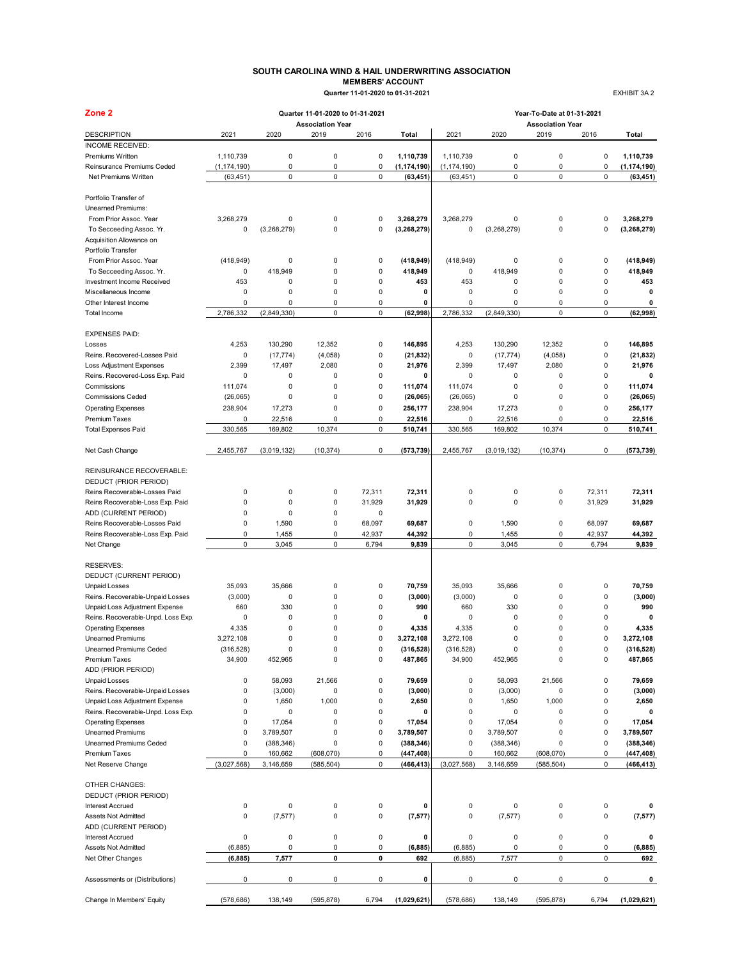### **SOUTH CAROLINA WIND & HAIL UNDERWRITING ASSOCIATION MEMBERS' ACCOUNT Quarter 11-01-2020 to 01-31-2021** EXHIBIT 3A 2

| <b>MEMBERS ACCOUNT</b>           |  |
|----------------------------------|--|
| Quarter 11-01-2020 to 01-31-2021 |  |

| Zone 2                                                   |                      |                  | Quarter 11-01-2020 to 01-31-2021 |                |                       | Year-To-Date at 01-31-2021 |             |                                 |             |                       |  |  |
|----------------------------------------------------------|----------------------|------------------|----------------------------------|----------------|-----------------------|----------------------------|-------------|---------------------------------|-------------|-----------------------|--|--|
| <b>DESCRIPTION</b>                                       | 2021                 | 2020             | <b>Association Year</b><br>2019  | 2016           | Total                 | 2021                       | 2020        | <b>Association Year</b><br>2019 | 2016        | Total                 |  |  |
| <b>INCOME RECEIVED:</b>                                  |                      |                  |                                  |                |                       |                            |             |                                 |             |                       |  |  |
| Premiums Written                                         | 1,110,739            | 0                | 0                                | $\pmb{0}$      | 1,110,739             | 1,110,739                  | 0           | 0                               | $\pmb{0}$   | 1,110,739             |  |  |
| Reinsurance Premiums Ceded                               | (1, 174, 190)        | 0                | $\mathsf 0$                      | $\pmb{0}$      | (1, 174, 190)         | (1, 174, 190)              | 0           | 0                               | $\pmb{0}$   | (1, 174, 190)         |  |  |
| Net Premiums Written                                     | (63, 451)            | $\mathbf 0$      | $\pmb{0}$                        | $\mathsf 0$    | (63, 451)             | (63, 451)                  | $\pmb{0}$   | 0                               | $\mathsf 0$ | (63, 451)             |  |  |
| Portfolio Transfer of                                    |                      |                  |                                  |                |                       |                            |             |                                 |             |                       |  |  |
| Unearned Premiums:                                       |                      |                  |                                  |                |                       |                            |             |                                 |             |                       |  |  |
| From Prior Assoc. Year                                   | 3,268,279            | 0                | $\pmb{0}$                        | $\pmb{0}$      | 3,268,279             | 3,268,279                  | 0           | 0                               | 0           | 3,268,279             |  |  |
| To Secceeding Assoc. Yr.                                 | 0                    | (3,268,279)      | 0                                | $\mathbf 0$    | (3, 268, 279)         | 0                          | (3,268,279) | 0                               | 0           | (3, 268, 279)         |  |  |
| Acquisition Allowance on                                 |                      |                  |                                  |                |                       |                            |             |                                 |             |                       |  |  |
| Portfolio Transfer                                       |                      |                  |                                  |                |                       |                            |             |                                 |             |                       |  |  |
| From Prior Assoc. Year                                   | (418, 949)           | 0                | $\pmb{0}$                        | $\pmb{0}$      | (418, 949)            | (418, 949)                 | 0           | 0                               | $\pmb{0}$   | (418, 949)            |  |  |
| To Secceeding Assoc. Yr.                                 | 0                    | 418,949          | $\mathbf 0$                      | $\pmb{0}$      | 418,949               | 0                          | 418.949     | 0                               | $\pmb{0}$   | 418,949               |  |  |
| Investment Income Received                               | 453                  | 0                | $\mathbf 0$                      | $\mathbf 0$    | 453                   | 453                        | 0           | 0                               | $\pmb{0}$   | 453                   |  |  |
| Miscellaneous Income                                     | $\mathsf 0$          | 0                | $\mathbf 0$                      | $\mathbf 0$    | 0                     | $\mathbf 0$                | 0           | 0                               | 0           | $\mathbf 0$           |  |  |
| Other Interest Income                                    | 0                    | 0                | 0                                | 0              | 0                     | 0                          | 0           | 0                               | 0           | 0                     |  |  |
| Total Income                                             | 2,786,332            | (2,849,330)      | $\mathsf 0$                      | $\mathsf 0$    | (62,998)              | 2,786,332                  | (2,849,330) | 0                               | $\pmb{0}$   | (62,998)              |  |  |
| <b>EXPENSES PAID:</b>                                    |                      |                  |                                  |                |                       |                            |             |                                 |             |                       |  |  |
| Losses                                                   | 4,253                | 130.290          | 12,352                           | $\pmb{0}$      | 146,895               | 4,253                      | 130,290     | 12,352                          | $\pmb{0}$   | 146,895               |  |  |
| Reins. Recovered-Losses Paid                             | 0                    | (17, 774)        | (4,058)                          | $\pmb{0}$      | (21, 832)             | 0                          | (17, 774)   | (4,058)                         | 0           | (21, 832)             |  |  |
| Loss Adjustment Expenses                                 | 2,399                | 17,497           | 2,080                            | $\pmb{0}$      | 21,976                | 2,399                      | 17,497      | 2,080                           | 0           | 21,976                |  |  |
| Reins. Recovered-Loss Exp. Paid                          | $\mathbf 0$          | 0                | 0                                | $\mathbf 0$    | 0                     | $\mathbf 0$                | 0           | 0                               | 0           | 0                     |  |  |
| Commissions                                              | 111.074              | 0                | $\pmb{0}$                        | $\pmb{0}$      | 111,074               | 111,074                    | 0           | 0                               | 0           | 111,074               |  |  |
| <b>Commissions Ceded</b>                                 | (26,065)             | $\mathbf 0$      | $\pmb{0}$                        | $\pmb{0}$      | (26,065)              | (26,065)                   | 0           | 0                               | 0           | (26, 065)             |  |  |
| <b>Operating Expenses</b>                                | 238,904              | 17,273           | $\mathbf 0$                      | $\pmb{0}$      | 256,177               | 238,904                    | 17,273      | $\mathbf 0$                     | 0           | 256.177               |  |  |
| <b>Premium Taxes</b>                                     | 0                    | 22,516           | 0                                | 0              | 22,516                | 0                          | 22,516      | 0                               | 0           | 22,516                |  |  |
| <b>Total Expenses Paid</b>                               | 330,565              | 169,802          | 10,374                           | $\mathsf 0$    | 510,741               | 330,565                    | 169,802     | 10,374                          | $\pmb{0}$   | 510,741               |  |  |
| Net Cash Change                                          | 2,455,767            | (3,019,132)      | (10, 374)                        | 0              | (573, 739)            | 2,455,767                  | (3,019,132) | (10, 374)                       | 0           | (573, 739)            |  |  |
|                                                          |                      |                  |                                  |                |                       |                            |             |                                 |             |                       |  |  |
| REINSURANCE RECOVERABLE:                                 |                      |                  |                                  |                |                       |                            |             |                                 |             |                       |  |  |
| DEDUCT (PRIOR PERIOD)                                    |                      |                  |                                  |                |                       |                            |             |                                 |             |                       |  |  |
| Reins Recoverable-Losses Paid                            | 0<br>$\mathbf 0$     | 0                | 0                                | 72,311         | 72,311                | 0                          | 0           | 0                               | 72,311      | 72,311                |  |  |
| Reins Recoverable-Loss Exp. Paid<br>ADD (CURRENT PERIOD) | $\mathsf 0$          | $\mathbf 0$<br>0 | $\pmb{0}$<br>$\pmb{0}$           | 31,929<br>0    | 31,929                | 0                          | 0           | 0                               | 31,929      | 31,929                |  |  |
| Reins Recoverable-Losses Paid                            | 0                    | 1,590            | $\pmb{0}$                        | 68,097         | 69,687                | $\mathsf 0$                | 1,590       | 0                               | 68,097      | 69,687                |  |  |
| Reins Recoverable-Loss Exp. Paid                         | $\mathbf 0$          | 1,455            | 0                                | 42,937         | 44,392                | 0                          | 1,455       | 0                               | 42,937      | 44,392                |  |  |
| Net Change                                               | $\mathbf 0$          | 3,045            | $\mathbf 0$                      | 6,794          | 9,839                 | $\mathbf 0$                | 3,045       | 0                               | 6,794       | 9,839                 |  |  |
|                                                          |                      |                  |                                  |                |                       |                            |             |                                 |             |                       |  |  |
| <b>RESERVES:</b>                                         |                      |                  |                                  |                |                       |                            |             |                                 |             |                       |  |  |
| DEDUCT (CURRENT PERIOD)                                  |                      |                  |                                  |                |                       |                            |             |                                 |             |                       |  |  |
| <b>Unpaid Losses</b>                                     | 35,093               | 35,666           | 0                                | $\pmb{0}$      | 70,759                | 35,093                     | 35,666      | 0                               | $\pmb{0}$   | 70,759                |  |  |
| Reins. Recoverable-Unpaid Losses                         | (3,000)              | $\mathbf 0$      | $\pmb{0}$                        | $\pmb{0}$      | (3,000)               | (3,000)                    | 0           | 0                               | 0           | (3,000)               |  |  |
| Unpaid Loss Adjustment Expense                           | 660                  | 330              | $\pmb{0}$                        | $\pmb{0}$      | 990                   | 660                        | 330         | 0                               | 0           | 990                   |  |  |
| Reins. Recoverable-Unpd. Loss Exp.                       | 0                    | 0                | $\pmb{0}$                        | $\mathbf 0$    | 0                     | $\mathsf 0$                | 0           | $\mathbf 0$                     | $\pmb{0}$   | 0                     |  |  |
| <b>Operating Expenses</b>                                | 4,335                | 0                | $\mathbf 0$                      | 0              | 4,335                 | 4,335                      | 0           | $\mathbf 0$                     | $\pmb{0}$   | 4,335                 |  |  |
| <b>Unearned Premiums</b>                                 | 3,272,108            | $\mathbf 0$      | 0                                | 0              | 3,272,108             | 3.272.108                  | 0           | $\mathbf 0$                     | 0           | 3,272,108             |  |  |
| Unearned Premiums Ceded<br>Premium Taxes                 | (316, 528)<br>34,900 | 0                | 0<br>0                           | 0<br>$\pmb{0}$ | (316, 528)<br>487,865 | (316, 528)                 | 452,965     | 0<br>0                          | 0<br>0      | (316, 528)<br>487,865 |  |  |
| ADD (PRIOR PERIOD)                                       |                      | 452,965          |                                  |                |                       | 34,900                     |             |                                 |             |                       |  |  |
| <b>Unpaid Losses</b>                                     | 0                    | 58,093           | 21,566                           | $\pmb{0}$      | 79,659                | $\pmb{0}$                  | 58,093      | 21,566                          | 0           | 79,659                |  |  |
| Reins. Recoverable-Unpaid Losses                         | 0                    | (3,000)          | $\pmb{0}$                        | $\pmb{0}$      | (3,000)               | 0                          | (3,000)     | 0                               | 0           | (3,000)               |  |  |
| Unpaid Loss Adjustment Expense                           | 0                    | 1,650            | 1,000                            | 0              | 2,650                 | $\pmb{0}$                  | 1,650       | 1,000                           | 0           | 2,650                 |  |  |
| Reins. Recoverable-Unpd. Loss Exp.                       | 0                    | 0                | 0                                | $\pmb{0}$      | 0                     | $\pmb{0}$                  | 0           | 0                               | 0           | 0                     |  |  |
| <b>Operating Expenses</b>                                | 0                    | 17,054           | 0                                | $\pmb{0}$      | 17,054                | 0                          | 17,054      | 0                               | $\pmb{0}$   | 17,054                |  |  |
| <b>Unearned Premiums</b>                                 | 0                    | 3,789,507        | $\pmb{0}$                        | $\pmb{0}$      | 3,789,507             | $\mathsf 0$                | 3,789,507   | 0                               | $\pmb{0}$   | 3,789,507             |  |  |
| Unearned Premiums Ceded                                  | 0                    | (388, 346)       | $\mathsf{O}\xspace$              | $\pmb{0}$      | (388, 346)            | $\pmb{0}$                  | (388, 346)  | 0                               | $\pmb{0}$   | (388, 346)            |  |  |
| Premium Taxes                                            | $\mathbf 0$          | 160,662          | (608, 070)                       | 0              | (447, 408)            | $\mathbf 0$                | 160,662     | (608, 070)                      | 0           | (447, 408)            |  |  |
| Net Reserve Change                                       | (3,027,568)          | 3,146,659        | (585, 504)                       | $\pmb{0}$      | (466, 413)            | (3,027,568)                | 3,146,659   | (585, 504)                      | $\pmb{0}$   | (466, 413)            |  |  |
|                                                          |                      |                  |                                  |                |                       |                            |             |                                 |             |                       |  |  |
| OTHER CHANGES:                                           |                      |                  |                                  |                |                       |                            |             |                                 |             |                       |  |  |
| DEDUCT (PRIOR PERIOD)<br><b>Interest Accrued</b>         | 0                    | 0                | 0                                | $\pmb{0}$      | 0                     | $\pmb{0}$                  | 0           | 0                               | 0           | 0                     |  |  |
| Assets Not Admitted                                      | 0                    | (7, 577)         | $\mathsf 0$                      | $\pmb{0}$      | (7, 577)              | 0                          | (7, 577)    | 0                               | $\pmb{0}$   |                       |  |  |
| ADD (CURRENT PERIOD)                                     |                      |                  |                                  |                |                       |                            |             |                                 |             | (7, 577)              |  |  |
| <b>Interest Accrued</b>                                  | 0                    | 0                | 0                                | 0              | 0                     | 0                          | 0           | 0                               | $\pmb{0}$   | 0                     |  |  |
| Assets Not Admitted                                      | (6, 885)             | 0                | 0                                | 0              | (6, 885)              | (6, 885)                   | 0           | 0                               | 0           | (6, 885)              |  |  |
| Net Other Changes                                        | (6, 885)             | 7,577            | 0                                | 0              | 692                   | (6, 885)                   | 7,577       | 0                               | 0           | 692                   |  |  |
|                                                          |                      |                  |                                  |                |                       |                            |             |                                 |             |                       |  |  |
| Assessments or (Distributions)                           | 0                    | 0                | 0                                | 0              | 0                     | 0                          | 0           | 0                               | 0           | 0                     |  |  |
| Change In Members' Equity                                | (578, 686)           | 138,149          | (595, 878)                       | 6,794          | (1,029,621)           | (578, 686)                 | 138,149     | (595, 878)                      | 6,794       | (1,029,621)           |  |  |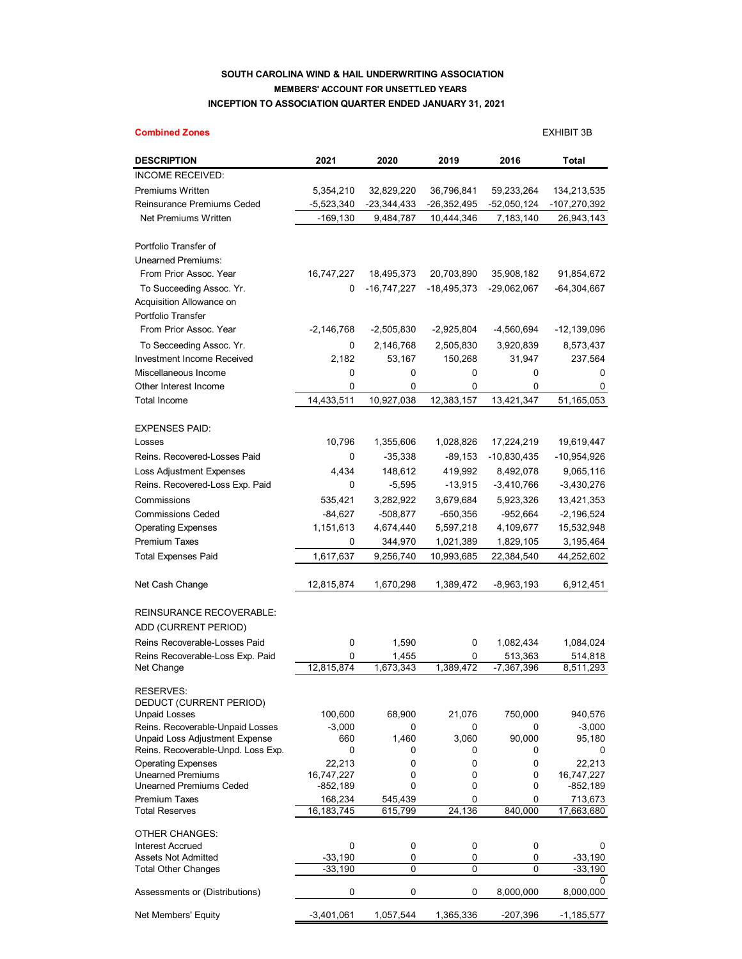## **SOUTH CAROLINA WIND & HAIL UNDERWRITING ASSOCIATION MEMBERS' ACCOUNT FOR UNSETTLED YEARS INCEPTION TO ASSOCIATION QUARTER ENDED JANUARY 31, 2021**

## **Combined Zones** EXHIBIT 3B **DESCRIPTION 2021 2020 2019 2016 Total** INCOME RECEIVED: Premiums Written 5,354,210 32,829,220 36,796,841 59,233,264 134,213,535 Reinsurance Premiums Ceded  $-5,523,340$   $-23,344,433$   $-26,352,495$   $-52,050,124$   $-107,270,392$ Net Premiums Written -169,130 9,484,787 10,444,346 7,183,140 26,943,143 Portfolio Transfer of Unearned Premiums: From Prior Assoc. Year 16,747,227 18,495,373 20,703,890 35,908,182 91,854,672 To Succeeding Assoc. Yr. 0 -16,747,227 -18,495,373 -29,062,067 -64,304,667 Acquisition Allowance on Portfolio Transfer From Prior Assoc. Year -2,146,768 -2,505,830 -2,925,804 -4,560,694 -12,139,096 To Secceeding Assoc. Yr. 0 2,146,768 2,505,830 3,920,839 8,573,437 Investment Income Received 2,182 53,167 150,268 31,947 237,564 Miscellaneous Income 0 0 0 0 0 Other Interest Income 0 0 0 0 0 Total Income 14,433,511 10,927,038 12,383,157 13,421,347 51,165,053 EXPENSES PAID: Losses 10,796 1,355,606 1,028,826 17,224,219 19,619,447 Reins. Recovered-Losses Paid  $0$  -35,338 -89,153 -10,830,435 -10,954,926 Loss Adjustment Expenses 4,434 148,612 419,992 8,492,078 9,065,116 Reins. Recovered-Loss Exp. Paid  $0$  -5,595 -13,915 -3,410,766 -3,430,276 Commissions 535,421 3,282,922 3,679,684 5,923,326 13,421,353 Commissions Ceded -84,627 -508,877 -650,356 -952,664 -2,196,524 Operating Expenses 1,151,613 4,674,440 5,597,218 4,109,677 15,532,948 Premium Taxes 0 344,970 1,021,389 1,829,105 3,195,464 Total Expenses Paid 1,617,637 9,256,740 10,993,685 22,384,540 44,252,602 Net Cash Change 12,815,874 1,670,298 1,389,472 -8,963,193 6,912,451 REINSURANCE RECOVERABLE: ADD (CURRENT PERIOD) Reins Recoverable-Losses Paid 0 1,590 0 1,082,434 1,084,024 Reins Recoverable-Loss Exp. Paid 0 1,455 0 513,363 514,818 Net Change 12,815,874 1,673,343 1,389,472 -7,367,396 8,511,293 RESERVES: DEDUCT (CURRENT PERIOD) Unpaid Losses 100,600 68,900 21,076 750,000 940,576 Reins. Recoverable-Unpaid Losses -3,000 0 0 0 -3,000<br>
Unpaid Loss Adjustment Expense 660 1.460 3.060 90.000 95.180 Unpaid Loss Adjustment Expense 660 1,460 3,060 90,000 95,180 Reins. Recoverable-Unpd. Loss Exp.  $\begin{array}{ccccccc} 0 & 0 & 0 & 0 & 0 \end{array}$ Operating Expenses<br>
Unearned Premiums<br>
Unearned Premiums<br>  $16,747,227$ <br>  $0$   $0$   $0$   $0$   $0$   $16,747,227$ Unearned Premiums 16,747,227 0 0 0 16,747,227 Unearned Premiums Ceded Premium Taxes 200 168,234 545,439 0 0 713,673 Total Reserves 16,183,745 615,799 24,136 840,000 17,663,680 OTHER CHANGES: Interest Accrued 0 0 0 0 0 Assets Not Admitted **-33,190** 0 0 0 -33,190 Total Other Changes **199 1 -33,190** 0 0 0 -33,190  $\Omega$ Assessments or (Distributions)  $0$  0 0 0 8,000,000 8,000,000

Net Members' Equity  $-3,401,061$   $1,057,544$   $1,365,336$   $-207,396$   $-1,185,577$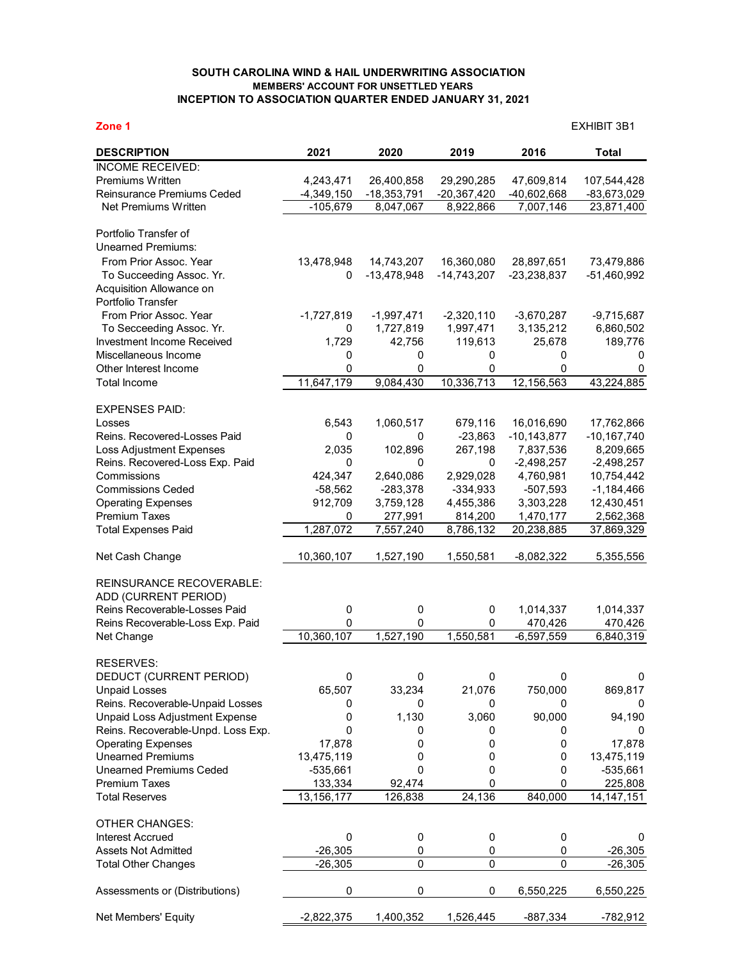## **SOUTH CAROLINA WIND & HAIL UNDERWRITING ASSOCIATION MEMBERS' ACCOUNT FOR UNSETTLED YEARS INCEPTION TO ASSOCIATION QUARTER ENDED JANUARY 31, 2021**

**Zone 1** EXHIBIT 3B1

| <b>DESCRIPTION</b>                                 | 2021         | 2020          | 2019          | 2016            | <b>Total</b>    |
|----------------------------------------------------|--------------|---------------|---------------|-----------------|-----------------|
| <b>INCOME RECEIVED:</b>                            |              |               |               |                 |                 |
| Premiums Written                                   | 4,243,471    | 26,400,858    | 29,290,285    | 47,609,814      | 107,544,428     |
| Reinsurance Premiums Ceded                         | $-4,349,150$ | $-18,353,791$ | $-20,367,420$ | -40,602,668     | -83,673,029     |
| Net Premiums Written                               | $-105,679$   | 8,047,067     | 8,922,866     | 7,007,146       | 23,871,400      |
|                                                    |              |               |               |                 |                 |
| Portfolio Transfer of                              |              |               |               |                 |                 |
| <b>Unearned Premiums:</b>                          |              |               |               |                 |                 |
| From Prior Assoc. Year                             | 13,478,948   | 14,743,207    | 16,360,080    | 28,897,651      | 73,479,886      |
| To Succeeding Assoc. Yr.                           | 0            | $-13,478,948$ | $-14,743,207$ | $-23,238,837$   | $-51,460,992$   |
| Acquisition Allowance on                           |              |               |               |                 |                 |
| Portfolio Transfer                                 |              |               |               |                 |                 |
| From Prior Assoc. Year                             | $-1,727,819$ | $-1,997,471$  | $-2,320,110$  | $-3,670,287$    | $-9,715,687$    |
| To Secceeding Assoc. Yr.                           | 0            | 1,727,819     | 1,997,471     | 3,135,212       | 6,860,502       |
| Investment Income Received<br>Miscellaneous Income | 1,729        | 42,756<br>0   | 119,613<br>0  | 25,678<br>0     | 189,776<br>0    |
| Other Interest Income                              | 0<br>0       | 0             | 0             | 0               | 0               |
| <b>Total Income</b>                                | 11,647,179   | 9,084,430     | 10,336,713    | 12,156,563      | 43,224,885      |
|                                                    |              |               |               |                 |                 |
| <b>EXPENSES PAID:</b>                              |              |               |               |                 |                 |
| Losses                                             | 6,543        | 1,060,517     | 679,116       | 16,016,690      | 17,762,866      |
| Reins, Recovered-Losses Paid                       | 0            | 0             | $-23,863$     | $-10, 143, 877$ | $-10, 167, 740$ |
| Loss Adjustment Expenses                           | 2,035        | 102,896       | 267,198       | 7,837,536       | 8,209,665       |
| Reins. Recovered-Loss Exp. Paid                    | 0            | 0             | 0             | $-2,498,257$    | $-2,498,257$    |
| Commissions                                        | 424,347      | 2,640,086     | 2,929,028     | 4,760,981       | 10,754,442      |
| <b>Commissions Ceded</b>                           | $-58,562$    | $-283,378$    | $-334,933$    | $-507,593$      | $-1,184,466$    |
| <b>Operating Expenses</b>                          | 912,709      | 3,759,128     | 4,455,386     | 3,303,228       | 12,430,451      |
| Premium Taxes                                      | 0            | 277,991       | 814,200       | 1,470,177       | 2,562,368       |
| <b>Total Expenses Paid</b>                         | 1,287,072    | 7,557,240     | 8,786,132     | 20,238,885      | 37,869,329      |
| Net Cash Change                                    | 10,360,107   | 1,527,190     | 1,550,581     | $-8,082,322$    | 5,355,556       |
|                                                    |              |               |               |                 |                 |
| <b>REINSURANCE RECOVERABLE:</b>                    |              |               |               |                 |                 |
| ADD (CURRENT PERIOD)                               |              |               |               |                 |                 |
| Reins Recoverable-Losses Paid                      | 0            | 0             | 0             | 1,014,337       | 1,014,337       |
| Reins Recoverable-Loss Exp. Paid                   | 0            | 0             | 0             | 470,426         | 470,426         |
| Net Change                                         | 10,360,107   | 1,527,190     | 1,550,581     | $-6,597,559$    | 6,840,319       |
| <b>RESERVES:</b>                                   |              |               |               |                 |                 |
| DEDUCT (CURRENT PERIOD)                            | 0            | 0             | 0             | 0               | 0               |
| <b>Unpaid Losses</b>                               | 65,507       | 33,234        | 21,076        | 750,000         | 869,817         |
| Reins. Recoverable-Unpaid Losses                   | 0            | 0             | 0             | 0               | 0               |
| Unpaid Loss Adjustment Expense                     | 0            | 1,130         | 3,060         | 90,000          | 94,190          |
| Reins. Recoverable-Unpd. Loss Exp.                 | 0            | 0             | 0             | 0               |                 |
| <b>Operating Expenses</b>                          | 17,878       | 0             | 0             | 0               | 17,878          |
| <b>Unearned Premiums</b>                           | 13,475,119   | 0             | 0             | 0               | 13,475,119      |
| <b>Unearned Premiums Ceded</b>                     | $-535,661$   | $\mathbf 0$   | 0             | 0               | $-535,661$      |
| <b>Premium Taxes</b>                               | 133,334      | 92,474        | 0             | 0               | 225,808         |
| <b>Total Reserves</b>                              | 13,156,177   | 126,838       | 24,136        | 840,000         | 14, 147, 151    |
|                                                    |              |               |               |                 |                 |
| <b>OTHER CHANGES:</b>                              |              |               |               |                 |                 |
| <b>Interest Accrued</b>                            | $\pmb{0}$    | 0             | 0             | 0               | 0               |
| <b>Assets Not Admitted</b>                         | $-26,305$    | 0             | 0             | 0               | $-26,305$       |
| <b>Total Other Changes</b>                         | $-26,305$    | 0             | 0             | 0               | $-26,305$       |
| Assessments or (Distributions)                     | 0            | 0             | 0             | 6,550,225       | 6,550,225       |
| Net Members' Equity                                | $-2,822,375$ | 1,400,352     | 1,526,445     | -887,334        | -782,912        |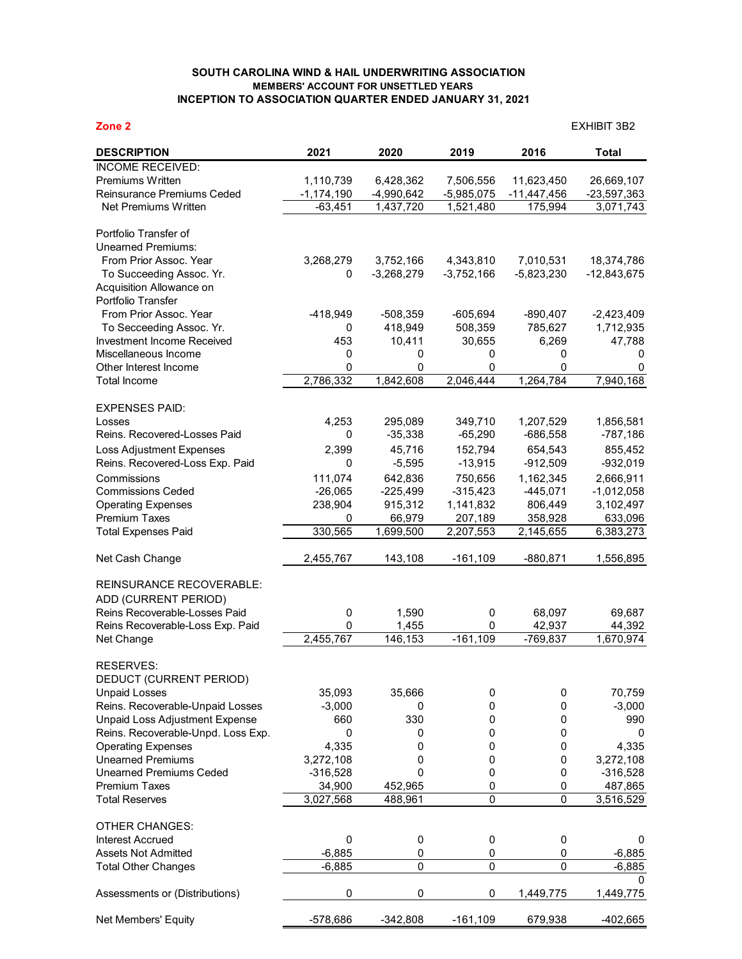## **SOUTH CAROLINA WIND & HAIL UNDERWRITING ASSOCIATION MEMBERS' ACCOUNT FOR UNSETTLED YEARS INCEPTION TO ASSOCIATION QUARTER ENDED JANUARY 31, 2021**

**Zone 2** EXHIBIT 3B2

| <b>DESCRIPTION</b>                                   | 2021         | 2020               | 2019         | 2016             | Total         |
|------------------------------------------------------|--------------|--------------------|--------------|------------------|---------------|
| <b>INCOME RECEIVED:</b>                              |              |                    |              |                  |               |
| <b>Premiums Written</b>                              | 1,110,739    | 6,428,362          | 7,506,556    | 11,623,450       | 26,669,107    |
| Reinsurance Premiums Ceded                           | $-1,174,190$ | $-4,990,642$       | $-5,985,075$ | $-11,447,456$    | $-23,597,363$ |
| Net Premiums Written                                 | $-63,451$    | 1,437,720          | 1,521,480    | 175,994          | 3,071,743     |
|                                                      |              |                    |              |                  |               |
| Portfolio Transfer of                                |              |                    |              |                  |               |
| <b>Unearned Premiums:</b>                            |              |                    |              |                  |               |
| From Prior Assoc. Year                               | 3,268,279    | 3,752,166          | 4,343,810    | 7,010,531        | 18,374,786    |
| To Succeeding Assoc. Yr.<br>Acquisition Allowance on | 0            | $-3,268,279$       | $-3,752,166$ | $-5,823,230$     | $-12,843,675$ |
| Portfolio Transfer                                   |              |                    |              |                  |               |
| From Prior Assoc. Year                               | -418,949     | $-508,359$         | $-605,694$   | $-890,407$       | $-2,423,409$  |
| To Secceeding Assoc. Yr.                             | 0            | 418,949            | 508,359      | 785,627          | 1,712,935     |
| Investment Income Received                           | 453          | 10,411             | 30,655       | 6,269            | 47,788        |
| Miscellaneous Income                                 | 0            | 0                  | 0            | 0                | 0             |
| Other Interest Income                                | 0            | 0                  | 0            | 0                | 0             |
| <b>Total Income</b>                                  | 2,786,332    | 1,842,608          | 2,046,444    | 1,264,784        | 7,940,168     |
|                                                      |              |                    |              |                  |               |
| <b>EXPENSES PAID:</b>                                |              |                    |              |                  |               |
| Losses                                               | 4,253        | 295,089            | 349,710      | 1,207,529        | 1,856,581     |
| Reins. Recovered-Losses Paid                         | 0            | $-35,338$          | $-65,290$    | $-686,558$       | $-787,186$    |
| Loss Adjustment Expenses                             | 2,399        | 45,716             | 152,794      | 654,543          | 855,452       |
| Reins. Recovered-Loss Exp. Paid                      | 0            | $-5,595$           | $-13,915$    | $-912,509$       | $-932,019$    |
| Commissions                                          | 111,074      | 642,836            | 750,656      | 1,162,345        | 2,666,911     |
| <b>Commissions Ceded</b>                             | $-26,065$    | $-225,499$         | $-315,423$   | $-445,071$       | $-1,012,058$  |
| <b>Operating Expenses</b>                            | 238,904      | 915,312            | 1,141,832    | 806,449          | 3,102,497     |
| <b>Premium Taxes</b>                                 | 0            | 66,979             | 207,189      | 358,928          | 633,096       |
| <b>Total Expenses Paid</b>                           | 330,565      | 1,699,500          | 2,207,553    | 2,145,655        | 6,383,273     |
| Net Cash Change                                      | 2,455,767    | 143,108            | $-161,109$   | $-880, 871$      | 1,556,895     |
| REINSURANCE RECOVERABLE:                             |              |                    |              |                  |               |
| ADD (CURRENT PERIOD)                                 |              |                    |              |                  |               |
| Reins Recoverable-Losses Paid                        | 0            | 1,590              | 0            | 68,097           | 69,687        |
| Reins Recoverable-Loss Exp. Paid                     | $\mathbf 0$  | 1,455              | 0            | 42,937           | 44,392        |
| Net Change                                           | 2,455,767    | 146,153            | $-161,109$   | $-769,837$       | 1,670,974     |
|                                                      |              |                    |              |                  |               |
| <b>RESERVES:</b>                                     |              |                    |              |                  |               |
| DEDUCT (CURRENT PERIOD)                              |              |                    |              |                  |               |
| <b>Unpaid Losses</b>                                 | 35,093       | 35,666             | 0            | 0                | 70,759        |
| Reins. Recoverable-Unpaid Losses                     | $-3,000$     | 0                  | 0            | 0                | $-3,000$      |
| Unpaid Loss Adjustment Expense                       | 660          | 330                | 0            | 0                | 990           |
| Reins. Recoverable-Unpd. Loss Exp.                   | 0            | 0                  | 0            | 0                | 0             |
| <b>Operating Expenses</b>                            | 4,335        | 0                  | 0            | 0                | 4,335         |
| <b>Unearned Premiums</b>                             | 3,272,108    | 0                  | 0            | 0                | 3,272,108     |
| <b>Unearned Premiums Ceded</b>                       | $-316,528$   | 0                  | 0            | 0                | $-316,528$    |
| Premium Taxes                                        | 34,900       | 452,965<br>488,961 | 0<br>0       | 0<br>$\mathbf 0$ | 487,865       |
| <b>Total Reserves</b>                                | 3,027,568    |                    |              |                  | 3,516,529     |
| <b>OTHER CHANGES:</b>                                |              |                    |              |                  |               |
| <b>Interest Accrued</b>                              | 0            | $\mathbf 0$        | 0            | 0                | 0             |
| <b>Assets Not Admitted</b>                           | $-6,885$     | 0                  | 0            | 0                | $-6,885$      |
| <b>Total Other Changes</b>                           | $-6,885$     | $\pmb{0}$          | 0            | 0                | $-6,885$      |
|                                                      |              |                    |              |                  | 0             |
| Assessments or (Distributions)                       | 0            | 0                  | 0            | 1,449,775        | 1,449,775     |
| Net Members' Equity                                  | -578,686     | $-342,808$         | $-161,109$   | 679,938          | $-402,665$    |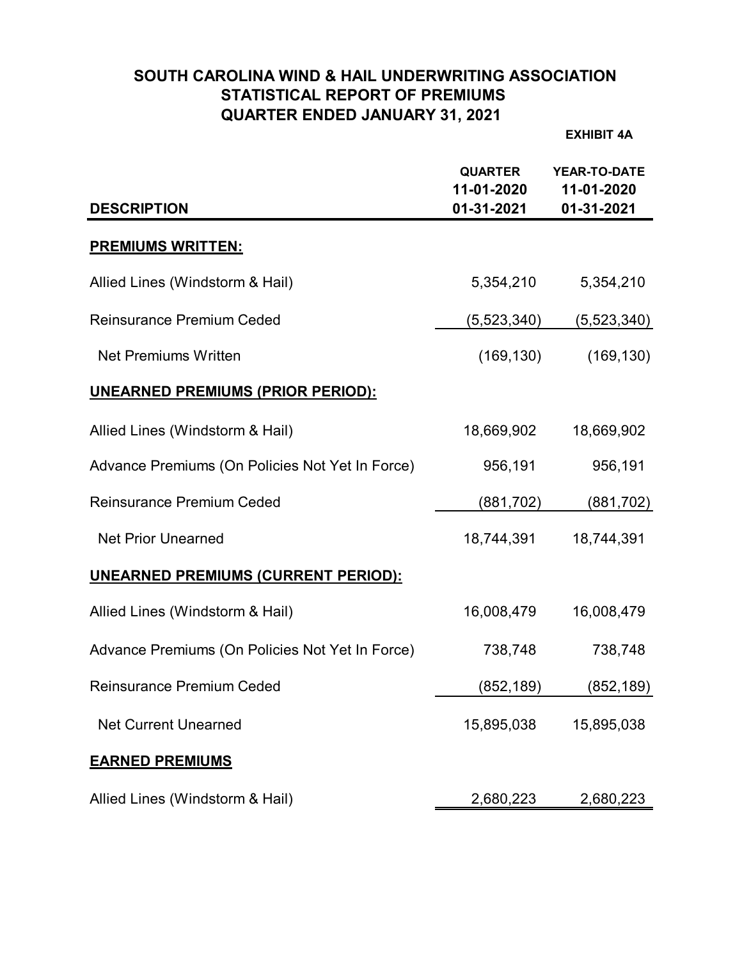# **SOUTH CAROLINA WIND & HAIL UNDERWRITING ASSOCIATION STATISTICAL REPORT OF PREMIUMS QUARTER ENDED JANUARY 31, 2021**

**EXHIBIT 4A**

| <b>DESCRIPTION</b>                              | <b>QUARTER</b><br>11-01-2020<br>01-31-2021 | <b>YEAR-TO-DATE</b><br>11-01-2020<br>01-31-2021 |
|-------------------------------------------------|--------------------------------------------|-------------------------------------------------|
| <b>PREMIUMS WRITTEN:</b>                        |                                            |                                                 |
| Allied Lines (Windstorm & Hail)                 | 5,354,210                                  | 5,354,210                                       |
| <b>Reinsurance Premium Ceded</b>                | (5, 523, 340)                              | (5,523,340)                                     |
| <b>Net Premiums Written</b>                     | (169, 130)                                 | (169, 130)                                      |
| <b>UNEARNED PREMIUMS (PRIOR PERIOD):</b>        |                                            |                                                 |
| Allied Lines (Windstorm & Hail)                 | 18,669,902                                 | 18,669,902                                      |
| Advance Premiums (On Policies Not Yet In Force) | 956,191                                    | 956,191                                         |
| <b>Reinsurance Premium Ceded</b>                | (881, 702)                                 | (881, 702)                                      |
| <b>Net Prior Unearned</b>                       | 18,744,391                                 | 18,744,391                                      |
| <b>UNEARNED PREMIUMS (CURRENT PERIOD):</b>      |                                            |                                                 |
| Allied Lines (Windstorm & Hail)                 | 16,008,479                                 | 16,008,479                                      |
| Advance Premiums (On Policies Not Yet In Force) | 738,748                                    | 738,748                                         |
| <b>Reinsurance Premium Ceded</b>                | (852, 189)                                 | (852, 189)                                      |
| <b>Net Current Unearned</b>                     | 15,895,038                                 | 15,895,038                                      |
| <b>EARNED PREMIUMS</b>                          |                                            |                                                 |
| Allied Lines (Windstorm & Hail)                 | 2,680,223                                  | 2,680,223                                       |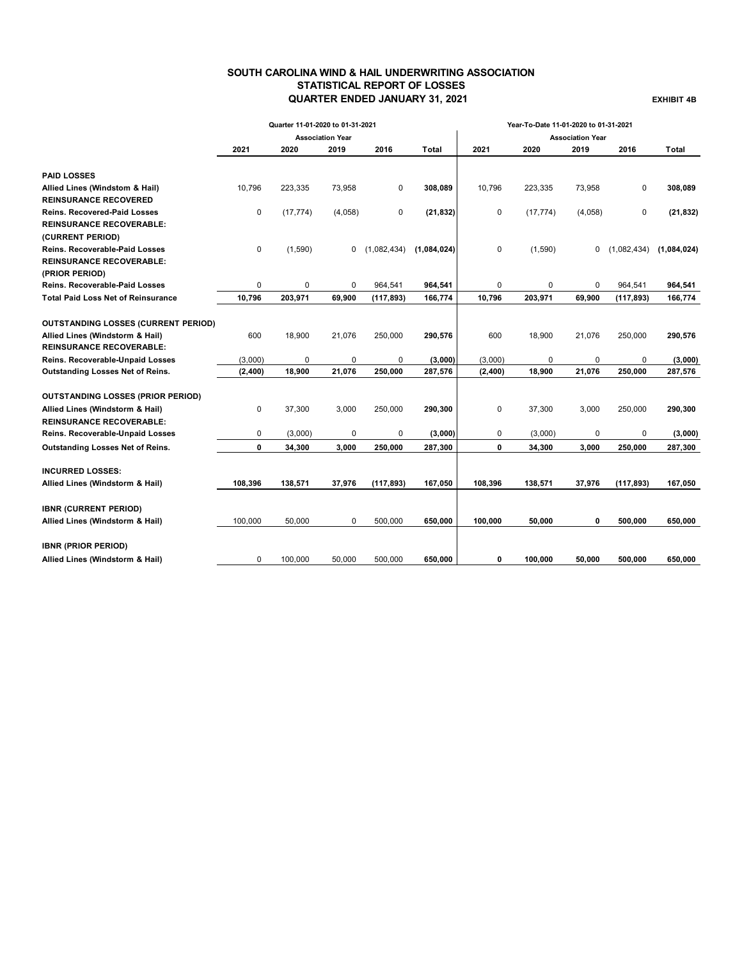## **SOUTH CAROLINA WIND & HAIL UNDERWRITING ASSOCIATION STATISTICAL REPORT OF LOSSES QUARTER ENDED JANUARY 31, 2021 EXHIBIT 4B**

|                                            |             | Quarter 11-01-2020 to 01-31-2021 |                         |             |             | Year-To-Date 11-01-2020 to 01-31-2021 |           |                         |             |             |  |
|--------------------------------------------|-------------|----------------------------------|-------------------------|-------------|-------------|---------------------------------------|-----------|-------------------------|-------------|-------------|--|
|                                            |             |                                  | <b>Association Year</b> |             |             |                                       |           | <b>Association Year</b> |             |             |  |
|                                            | 2021        | 2020                             | 2019                    | 2016        | Total       | 2021                                  | 2020      | 2019                    | 2016        | Total       |  |
| <b>PAID LOSSES</b>                         |             |                                  |                         |             |             |                                       |           |                         |             |             |  |
| Allied Lines (Windstom & Hail)             | 10,796      | 223,335                          | 73,958                  | 0           | 308,089     | 10,796                                | 223,335   | 73,958                  | 0           | 308,089     |  |
| <b>REINSURANCE RECOVERED</b>               |             |                                  |                         |             |             |                                       |           |                         |             |             |  |
| <b>Reins. Recovered-Paid Losses</b>        | $\mathbf 0$ | (17, 774)                        | (4,058)                 | 0           | (21, 832)   | 0                                     | (17, 774) | (4,058)                 | 0           | (21, 832)   |  |
| <b>REINSURANCE RECOVERABLE:</b>            |             |                                  |                         |             |             |                                       |           |                         |             |             |  |
| (CURRENT PERIOD)                           |             |                                  |                         |             |             |                                       |           |                         |             |             |  |
| <b>Reins. Recoverable-Paid Losses</b>      | 0           | (1,590)                          | 0                       | (1,082,434) | (1,084,024) | 0                                     | (1,590)   | 0                       | (1,082,434) | (1,084,024) |  |
| <b>REINSURANCE RECOVERABLE:</b>            |             |                                  |                         |             |             |                                       |           |                         |             |             |  |
| (PRIOR PERIOD)                             |             |                                  |                         |             |             |                                       |           |                         |             |             |  |
| <b>Reins. Recoverable-Paid Losses</b>      | 0           | 0                                | $\mathbf 0$             | 964,541     | 964,541     | 0                                     | $\Omega$  | $\Omega$                | 964,541     | 964,541     |  |
| <b>Total Paid Loss Net of Reinsurance</b>  | 10,796      | 203,971                          | 69,900                  | (117, 893)  | 166,774     | 10,796                                | 203,971   | 69,900                  | (117, 893)  | 166,774     |  |
| <b>OUTSTANDING LOSSES (CURRENT PERIOD)</b> |             |                                  |                         |             |             |                                       |           |                         |             |             |  |
| Allied Lines (Windstorm & Hail)            | 600         | 18,900                           | 21,076                  | 250,000     | 290,576     | 600                                   | 18,900    | 21,076                  | 250,000     | 290,576     |  |
| <b>REINSURANCE RECOVERABLE:</b>            |             |                                  |                         |             |             |                                       |           |                         |             |             |  |
| Reins. Recoverable-Unpaid Losses           | (3,000)     | 0                                | 0                       | 0           | (3,000)     | (3,000)                               | 0         | 0                       | 0           | (3,000)     |  |
| Outstanding Losses Net of Reins.           | (2,400)     | 18,900                           | 21,076                  | 250,000     | 287,576     | (2, 400)                              | 18,900    | 21,076                  | 250,000     | 287,576     |  |
| <b>OUTSTANDING LOSSES (PRIOR PERIOD)</b>   |             |                                  |                         |             |             |                                       |           |                         |             |             |  |
| Allied Lines (Windstorm & Hail)            | 0           | 37,300                           | 3,000                   | 250,000     | 290,300     | 0                                     | 37,300    | 3,000                   | 250,000     | 290,300     |  |
| <b>REINSURANCE RECOVERABLE:</b>            |             |                                  |                         |             |             |                                       |           |                         |             |             |  |
| Reins. Recoverable-Unpaid Losses           | 0           | (3,000)                          | $\mathbf 0$             | 0           | (3,000)     | 0                                     | (3,000)   | 0                       | 0           | (3,000)     |  |
| Outstanding Losses Net of Reins.           | 0           | 34,300                           | 3,000                   | 250,000     | 287,300     | 0                                     | 34,300    | 3,000                   | 250,000     | 287,300     |  |
| <b>INCURRED LOSSES:</b>                    |             |                                  |                         |             |             |                                       |           |                         |             |             |  |
| Allied Lines (Windstorm & Hail)            | 108,396     | 138,571                          | 37,976                  | (117, 893)  | 167,050     | 108,396                               | 138,571   | 37,976                  | (117, 893)  | 167,050     |  |
|                                            |             |                                  |                         |             |             |                                       |           |                         |             |             |  |
| <b>IBNR (CURRENT PERIOD)</b>               |             |                                  |                         |             |             |                                       |           |                         |             |             |  |
| Allied Lines (Windstorm & Hail)            | 100,000     | 50,000                           | 0                       | 500,000     | 650,000     | 100,000                               | 50,000    | 0                       | 500,000     | 650,000     |  |
| <b>IBNR (PRIOR PERIOD)</b>                 |             |                                  |                         |             |             |                                       |           |                         |             |             |  |
| Allied Lines (Windstorm & Hail)            | 0           | 100.000                          | 50.000                  | 500.000     | 650.000     | 0                                     | 100.000   | 50.000                  | 500.000     | 650.000     |  |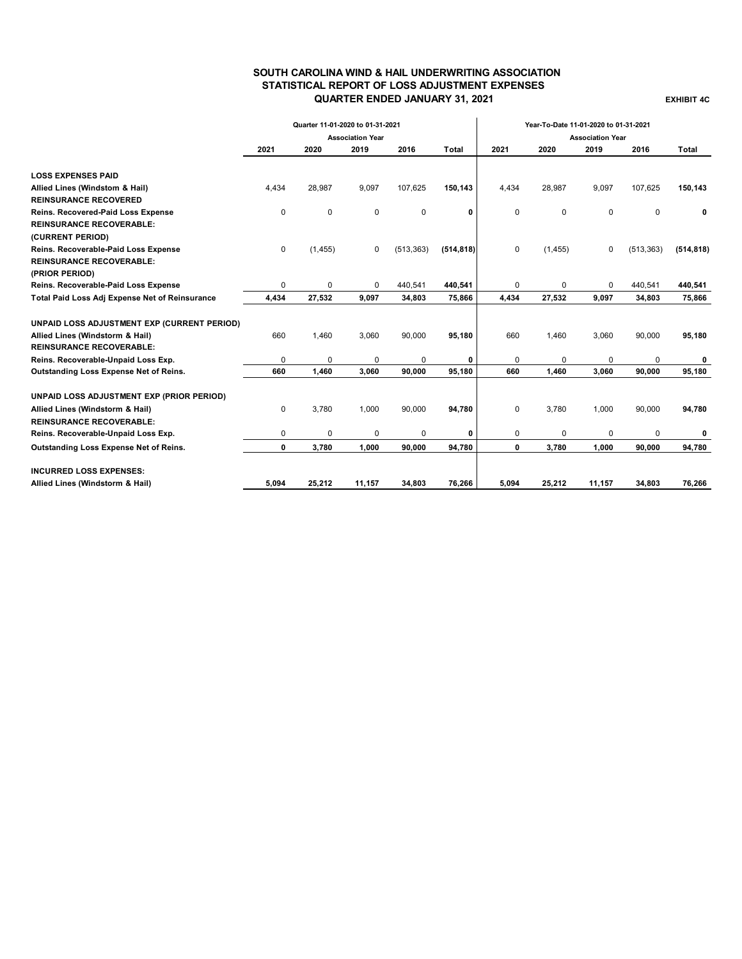### **SOUTH CAROLINA WIND & HAIL UNDERWRITING ASSOCIATION STATISTICAL REPORT OF LOSS ADJUSTMENT EXPENSES QUARTER ENDED JANUARY 31, 2021 EXHIBIT 4C**

|                                                | Quarter 11-01-2020 to 01-31-2021 |          |        |             |                         | Year-To-Date 11-01-2020 to 01-31-2021 |          |             |            |              |
|------------------------------------------------|----------------------------------|----------|--------|-------------|-------------------------|---------------------------------------|----------|-------------|------------|--------------|
|                                                | <b>Association Year</b>          |          |        |             | <b>Association Year</b> |                                       |          |             |            |              |
|                                                | 2021                             | 2020     | 2019   | 2016        | Total                   | 2021                                  | 2020     | 2019        | 2016       | <b>Total</b> |
|                                                |                                  |          |        |             |                         |                                       |          |             |            |              |
| <b>LOSS EXPENSES PAID</b>                      |                                  |          |        |             |                         |                                       |          |             |            |              |
| Allied Lines (Windstom & Hail)                 | 4,434                            | 28,987   | 9,097  | 107,625     | 150,143                 | 4,434                                 | 28,987   | 9,097       | 107,625    | 150,143      |
| <b>REINSURANCE RECOVERED</b>                   |                                  |          |        |             |                         |                                       |          |             |            |              |
| Reins. Recovered-Paid Loss Expense             | 0                                | $\Omega$ | 0      | $\mathbf 0$ | 0                       | $\mathbf 0$                           | 0        | $\mathbf 0$ | $\Omega$   | 0            |
| <b>REINSURANCE RECOVERABLE:</b>                |                                  |          |        |             |                         |                                       |          |             |            |              |
| (CURRENT PERIOD)                               |                                  |          |        |             |                         |                                       |          |             |            |              |
| Reins. Recoverable-Paid Loss Expense           | 0                                | (1, 455) | 0      | (513, 363)  | (514, 818)              | $\mathbf 0$                           | (1, 455) | $\mathbf 0$ | (513, 363) | (514, 818)   |
| <b>REINSURANCE RECOVERABLE:</b>                |                                  |          |        |             |                         |                                       |          |             |            |              |
| (PRIOR PERIOD)                                 |                                  |          |        |             |                         |                                       |          |             |            |              |
| Reins. Recoverable-Paid Loss Expense           | $\Omega$                         | $\Omega$ | 0      | 440,541     | 440,541                 | 0                                     | $\Omega$ | $\Omega$    | 440,541    | 440,541      |
| Total Paid Loss Adj Expense Net of Reinsurance | 4,434                            | 27,532   | 9,097  | 34,803      | 75,866                  | 4,434                                 | 27,532   | 9,097       | 34,803     | 75,866       |
| UNPAID LOSS ADJUSTMENT EXP (CURRENT PERIOD)    |                                  |          |        |             |                         |                                       |          |             |            |              |
| Allied Lines (Windstorm & Hail)                | 660                              | 1,460    | 3,060  | 90,000      | 95,180                  | 660                                   | 1,460    | 3,060       | 90,000     | 95,180       |
| <b>REINSURANCE RECOVERABLE:</b>                |                                  |          |        |             |                         |                                       |          |             |            |              |
| Reins. Recoverable-Unpaid Loss Exp.            | 0                                | 0        | 0      | 0           | 0                       | 0                                     | 0        | $\mathbf 0$ | 0          | 0            |
| Outstanding Loss Expense Net of Reins.         | 660                              | 1,460    | 3,060  | 90,000      | 95,180                  | 660                                   | 1,460    | 3,060       | 90,000     | 95,180       |
| UNPAID LOSS ADJUSTMENT EXP (PRIOR PERIOD)      |                                  |          |        |             |                         |                                       |          |             |            |              |
| Allied Lines (Windstorm & Hail)                | $\mathbf 0$                      | 3,780    | 1,000  | 90,000      | 94,780                  | 0                                     | 3,780    | 1,000       | 90,000     | 94,780       |
| <b>REINSURANCE RECOVERABLE:</b>                |                                  |          |        |             |                         |                                       |          |             |            |              |
| Reins. Recoverable-Unpaid Loss Exp.            | 0                                | 0        | 0      | 0           | 0                       | 0                                     | 0        | 0           | $\Omega$   | 0            |
| Outstanding Loss Expense Net of Reins.         | 0                                | 3,780    | 1.000  | 90,000      | 94,780                  | 0                                     | 3,780    | 1,000       | 90,000     | 94,780       |
| <b>INCURRED LOSS EXPENSES:</b>                 |                                  |          |        |             |                         |                                       |          |             |            |              |
| Allied Lines (Windstorm & Hail)                | 5,094                            | 25,212   | 11,157 | 34,803      | 76,266                  | 5,094                                 | 25,212   | 11,157      | 34,803     | 76,266       |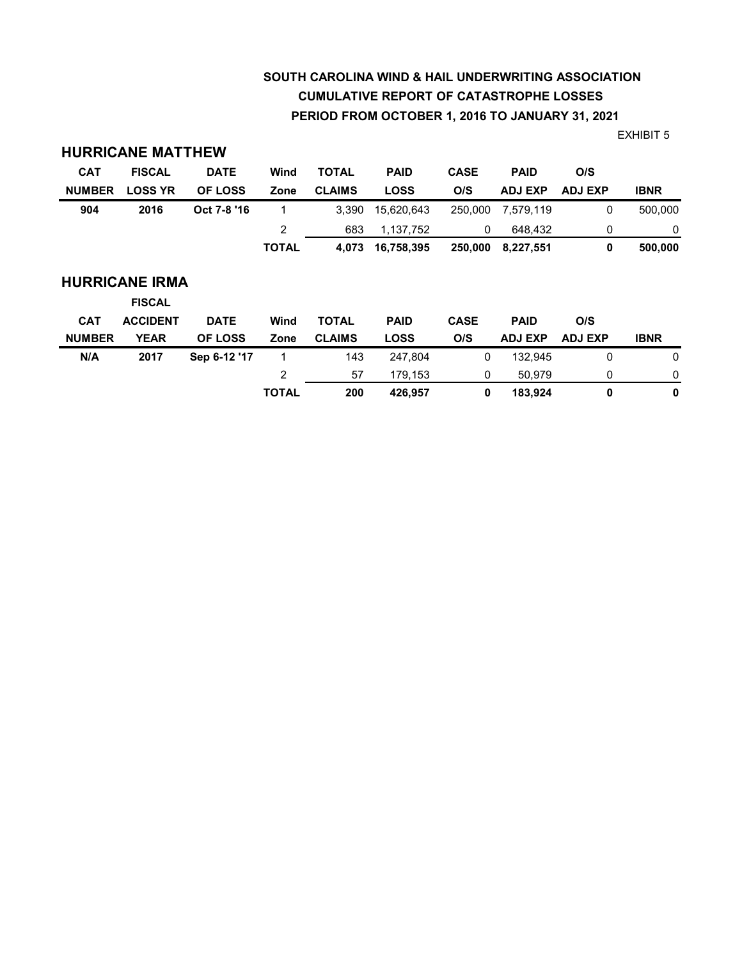# **SOUTH CAROLINA WIND & HAIL UNDERWRITING ASSOCIATION CUMULATIVE REPORT OF CATASTROPHE LOSSES PERIOD FROM OCTOBER 1, 2016 TO JANUARY 31, 2021**

EXHIBIT 5

| <b>CAT</b>    | <b>FISCAL</b>                          | <b>DATE</b>    | Wind           | <b>TOTAL</b>  | <b>PAID</b> | <b>CASE</b> | <b>PAID</b>    | O/S            |             |
|---------------|----------------------------------------|----------------|----------------|---------------|-------------|-------------|----------------|----------------|-------------|
| <b>NUMBER</b> | <b>LOSS YR</b>                         | <b>OF LOSS</b> | Zone           | <b>CLAIMS</b> | <b>LOSS</b> | O/S         | <b>ADJ EXP</b> | <b>ADJ EXP</b> | <b>IBNR</b> |
| 904           | 2016                                   | Oct 7-8 '16    |                | 3,390         | 15,620,643  | 250,000     | 7,579,119      | 0              | 500,000     |
|               |                                        |                | $\overline{2}$ | 683           | 1,137,752   | 0           | 648.432        | 0              | 0           |
|               |                                        |                | <b>TOTAL</b>   | 4,073         | 16,758,395  | 250,000     | 8,227,551      | 0              | 500,000     |
|               | <b>HURRICANE IRMA</b><br><b>FISCAL</b> |                |                |               |             |             |                |                |             |
| <b>CAT</b>    | <b>ACCIDENT</b>                        | <b>DATE</b>    | Wind           | <b>TOTAL</b>  | <b>PAID</b> | <b>CASE</b> | <b>PAID</b>    | O/S            |             |
| <b>NUMBER</b> | <b>YEAR</b>                            | <b>OF LOSS</b> | Zone           | <b>CLAIMS</b> | <b>LOSS</b> | O/S         | <b>ADJ EXP</b> | <b>ADJ EXP</b> | <b>IBNR</b> |
| N/A           | 2017                                   | Sep 6-12 '17   | 1              | 143           | 247,804     | 0           | 132.945        | 0              | 0           |
|               |                                        |                | 2              | 57            | 179,153     | 0           | 50,979         | 0              | 0           |
|               |                                        |                | <b>TOTAL</b>   | 200           | 426,957     | 0           | 183,924        | 0              | 0           |

**HURRICANE MATTHEW**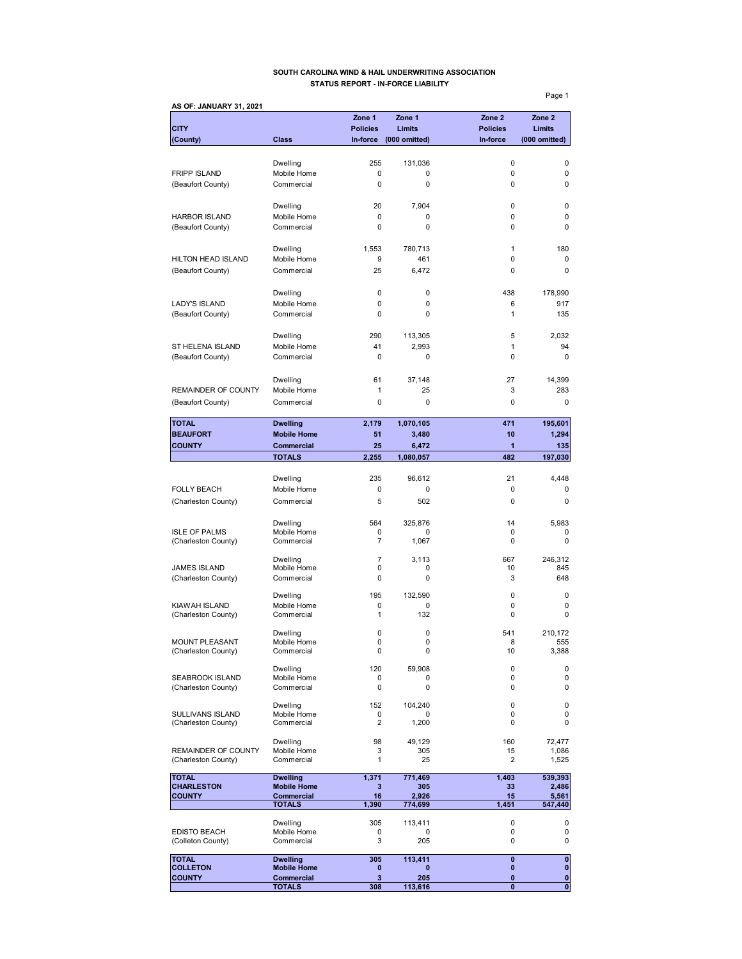### **SOUTH CAROLINA WIND & HAIL UNDERWRITING ASSOCIATION STATUS REPORT - IN-FORCE LIABILITY**

**AS OF: JANUARY 31, 2021 Zone 1 Zone 1 Zone 2 Zone 2 CITY Policies Limits Policies Limits (County) Class In-force (000 omitted) In-force (000 omitted)** Dwelling 255 131,036 0 0 FRIPP ISLAND Mobile Home 0 0 0 0 (Beaufort County) Commercial 0 0 0 0 Dwelling 20 7,904 0 0 HARBOR ISLAND Mobile Home 0 0 0 0 (Beaufort County) Commercial 0 0 0 Dwelling 1,553 780,713 1 180 HILTON HEAD ISLAND Mobile Home 9 461 0 0 0 (Beaufort County) Commercial 25 6,472 0 0 Dwelling 0 0 438 178,990 LADY'S ISLAND Mobile Home 0 0 0 6 917<br>
(Beaufort County) Commercial 0 0 0 1 1 135 (Beaufort County) Commercial 0 0 0 1 Dwelling 290 113,305 5 2,032 ST HELENA ISLAND Mobile Home 41 2,993 1 94 (Beaufort County) Commercial 0 0 0 0 Dwelling 61 37,148 27 14,399 REMAINDER OF COUNTY Mobile Home  $\begin{array}{cccc} 1 & 25 & 3 & 283 \end{array}$ (Beaufort County) Commercial 0 0 0 0 **TOTAL Dwelling 2,179 1,070,105 471 195,601 BEAUFORT** Mobile Home 51 3,480 10 1,294 **COUNTY Commercial 25 6,472 1 135 TOTALS 2,255 1,080,057 482 197,030** Dwelling 235 96,612 21 4,448 FOLLY BEACH Mobile Home 0 0 0 0 (Charleston County) Commercial 5 502 0 0 0 Dwelling 564 325,876 14 5,983 ISLE OF PALMS Mobile Home 0 0 0 0 (Charleston County) Commercial 7 1,067 0 0 0 0 Dwelling 7 3,113 667 246,312 JAMES ISLAND Mobile Home 0 0 10 845 (Charleston County) Commercial 0 0 0 3 648 Dwelling 195 132,590 0 0 KIAWAH ISLAND Mobile Home 0 0 0 0 (Charleston County) Commercial 1 132 0 0 Dwelling 0 0 541 210,172 MOUNT PLEASANT Mobile Home 0 0 0 8 555<br>
(Charleston County) Commercial 0 0 0 10 3,388 (Charleston County) Dwelling 120 59,908 0 0 SEABROOK ISLAND Mobile Home 0 0 0 0 (Charleston County) Dwelling 152 104,240 0 0 SULLIVANS ISLAND Mobile Home<br>
(Charleston County) Commercial  $\begin{array}{ccc} 0 & 0 & 0 & 0 \\ 2 & 1,200 & 0 & 0 \\ 0 & 0 & 0 & 0 \end{array}$ (Charleston County) Dwelling 98 49,129 160 72,477 REMAINDER OF COUNTY Mobile Home  $\begin{array}{cccc} 3 & 305 & 15 & 1,086 \\ 15 & 2 & 1,525 \end{array}$ (Charleston County) TOTAL **Dwelling 1,371 771,469 1,403 539,393**<br>CHARLESTON Mobile Home 3 305 33 2,486 CHARLESTON Mobile Home 3 305 33 2,486<br>
COUNTY Commercial 16 2,926 15 5,561 **COUNTY Commercial 16 2,926 15 5,561 TOTALS 1,390 774,699 1,451 547,440** Dwelling 305 113,411 0 0 EDISTO BEACH Mobile Home 0 0 0 0 0 0<br>
(Colleton County) Commercial 0 3 205 0 0 0 (Colleton County) **TOTAL Dwelling 305 113,411 0 0 COLLETON Mobile Home 0 0 0 0 COUNTY Commercial 3 205 0** 0

**TOTALS 308 113,616 0 0**

Page 1